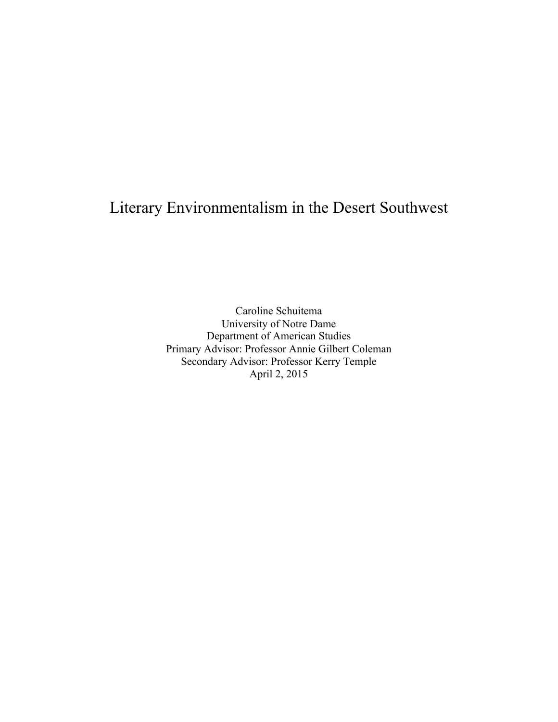# Literary Environmentalism in the Desert Southwest

Caroline Schuitema University of Notre Dame Department of American Studies Primary Advisor: Professor Annie Gilbert Coleman Secondary Advisor: Professor Kerry Temple April 2, 2015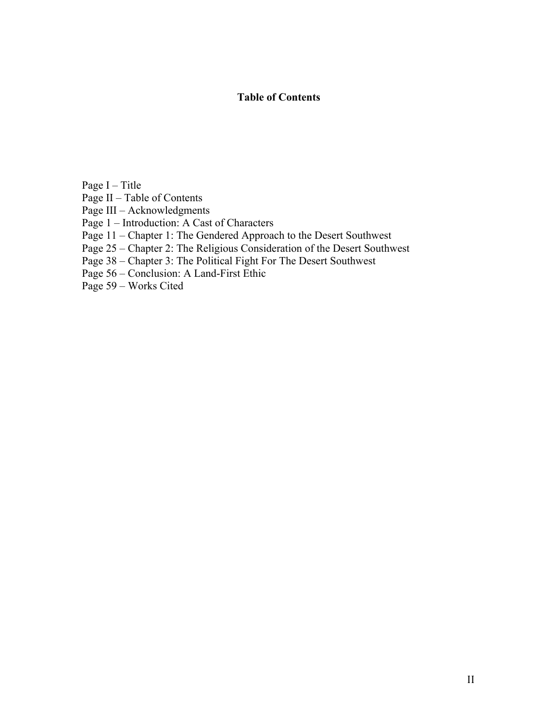# **Table of Contents**

Page I – Title

Page II – Table of Contents

Page III – Acknowledgments

Page 1 – Introduction: A Cast of Characters

Page 11 – Chapter 1: The Gendered Approach to the Desert Southwest

Page 25 – Chapter 2: The Religious Consideration of the Desert Southwest

Page 38 – Chapter 3: The Political Fight For The Desert Southwest

Page 56 – Conclusion: A Land-First Ethic

Page 59 – Works Cited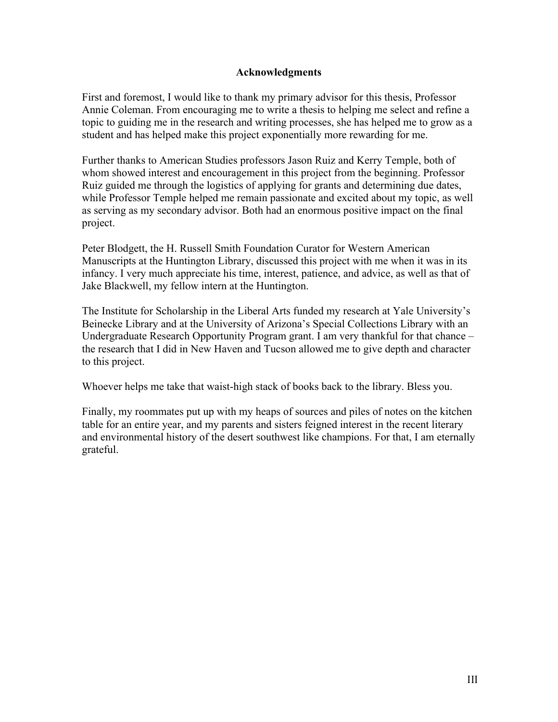# **Acknowledgments**

First and foremost, I would like to thank my primary advisor for this thesis, Professor Annie Coleman. From encouraging me to write a thesis to helping me select and refine a topic to guiding me in the research and writing processes, she has helped me to grow as a student and has helped make this project exponentially more rewarding for me.

Further thanks to American Studies professors Jason Ruiz and Kerry Temple, both of whom showed interest and encouragement in this project from the beginning. Professor Ruiz guided me through the logistics of applying for grants and determining due dates, while Professor Temple helped me remain passionate and excited about my topic, as well as serving as my secondary advisor. Both had an enormous positive impact on the final project.

Peter Blodgett, the H. Russell Smith Foundation Curator for Western American Manuscripts at the Huntington Library, discussed this project with me when it was in its infancy. I very much appreciate his time, interest, patience, and advice, as well as that of Jake Blackwell, my fellow intern at the Huntington.

The Institute for Scholarship in the Liberal Arts funded my research at Yale University's Beinecke Library and at the University of Arizona's Special Collections Library with an Undergraduate Research Opportunity Program grant. I am very thankful for that chance – the research that I did in New Haven and Tucson allowed me to give depth and character to this project.

Whoever helps me take that waist-high stack of books back to the library. Bless you.

Finally, my roommates put up with my heaps of sources and piles of notes on the kitchen table for an entire year, and my parents and sisters feigned interest in the recent literary and environmental history of the desert southwest like champions. For that, I am eternally grateful.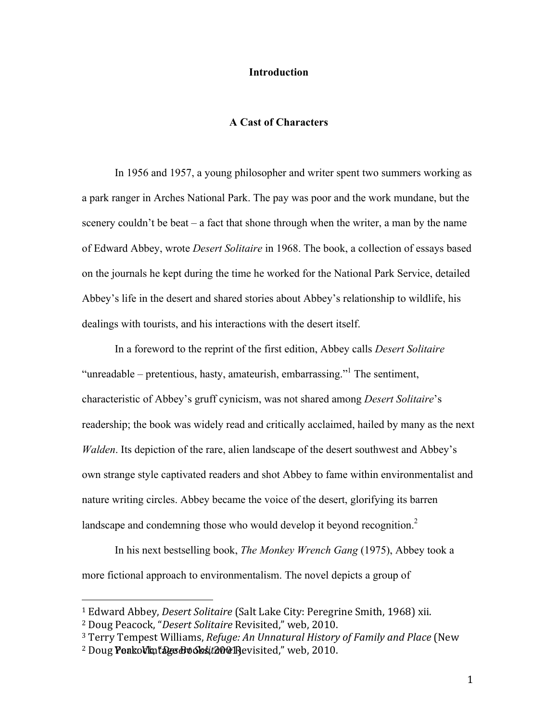## **Introduction**

# **A Cast of Characters**

In 1956 and 1957, a young philosopher and writer spent two summers working as a park ranger in Arches National Park. The pay was poor and the work mundane, but the scenery couldn't be beat – a fact that shone through when the writer, a man by the name of Edward Abbey, wrote *Desert Solitaire* in 1968. The book, a collection of essays based on the journals he kept during the time he worked for the National Park Service, detailed Abbey's life in the desert and shared stories about Abbey's relationship to wildlife, his dealings with tourists, and his interactions with the desert itself.

In a foreword to the reprint of the first edition, Abbey calls *Desert Solitaire* "unreadable – pretentious, hasty, amateurish, embarrassing."<sup>1</sup> The sentiment, characteristic of Abbey's gruff cynicism, was not shared among *Desert Solitaire*'s readership; the book was widely read and critically acclaimed, hailed by many as the next *Walden*. Its depiction of the rare, alien landscape of the desert southwest and Abbey's own strange style captivated readers and shot Abbey to fame within environmentalist and nature writing circles. Abbey became the voice of the desert, glorifying its barren landscape and condemning those who would develop it beyond recognition.<sup>2</sup>

In his next bestselling book, *The Monkey Wrench Gang* (1975), Abbey took a more fictional approach to environmentalism. The novel depicts a group of

<sup>&</sup>lt;sup>1</sup> Edward Abbey, *Desert Solitaire* (Salt Lake City: Peregrine Smith, 1968) xii.

<sup>&</sup>lt;sup>2</sup> Doug Peacock, "Desert Solitaire Revisited," web, 2010.

<sup>&</sup>lt;sup>3</sup> Terry Tempest Williams, *Refuge: An Unnatural History of Family and Place* (New

<sup>&</sup>lt;sup>2</sup> Doug **PeakoVkntages BvoSskit200@** Revisited," web, 2010.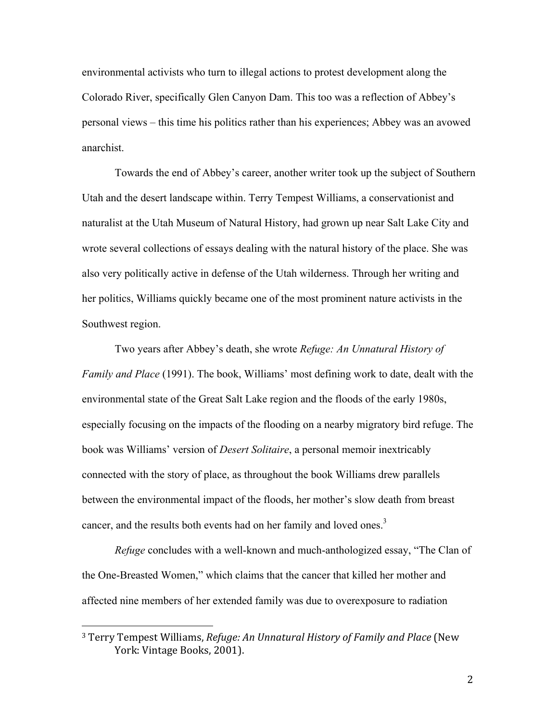environmental activists who turn to illegal actions to protest development along the Colorado River, specifically Glen Canyon Dam. This too was a reflection of Abbey's personal views – this time his politics rather than his experiences; Abbey was an avowed anarchist.

Towards the end of Abbey's career, another writer took up the subject of Southern Utah and the desert landscape within. Terry Tempest Williams, a conservationist and naturalist at the Utah Museum of Natural History, had grown up near Salt Lake City and wrote several collections of essays dealing with the natural history of the place. She was also very politically active in defense of the Utah wilderness. Through her writing and her politics, Williams quickly became one of the most prominent nature activists in the Southwest region.

Two years after Abbey's death, she wrote *Refuge: An Unnatural History of Family and Place* (1991). The book, Williams' most defining work to date, dealt with the environmental state of the Great Salt Lake region and the floods of the early 1980s, especially focusing on the impacts of the flooding on a nearby migratory bird refuge. The book was Williams' version of *Desert Solitaire*, a personal memoir inextricably connected with the story of place, as throughout the book Williams drew parallels between the environmental impact of the floods, her mother's slow death from breast cancer, and the results both events had on her family and loved ones.<sup>3</sup>

*Refuge* concludes with a well-known and much-anthologized essay, "The Clan of the One-Breasted Women," which claims that the cancer that killed her mother and affected nine members of her extended family was due to overexposure to radiation

<sup>&</sup>lt;sup>3</sup> Terry Tempest Williams, *Refuge: An Unnatural History of Family and Place* (New York: Vintage Books, 2001).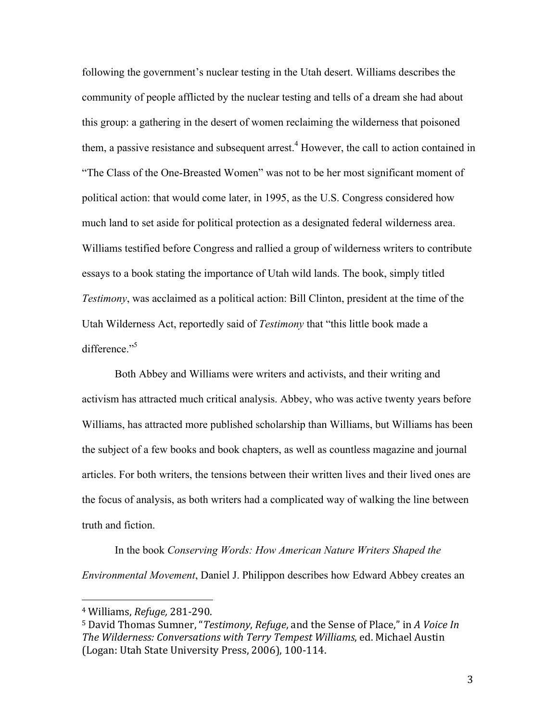following the government's nuclear testing in the Utah desert. Williams describes the community of people afflicted by the nuclear testing and tells of a dream she had about this group: a gathering in the desert of women reclaiming the wilderness that poisoned them, a passive resistance and subsequent arrest.<sup>4</sup> However, the call to action contained in "The Class of the One-Breasted Women" was not to be her most significant moment of political action: that would come later, in 1995, as the U.S. Congress considered how much land to set aside for political protection as a designated federal wilderness area. Williams testified before Congress and rallied a group of wilderness writers to contribute essays to a book stating the importance of Utah wild lands. The book, simply titled *Testimony*, was acclaimed as a political action: Bill Clinton, president at the time of the Utah Wilderness Act, reportedly said of *Testimony* that "this little book made a difference."<sup>5</sup>

Both Abbey and Williams were writers and activists, and their writing and activism has attracted much critical analysis. Abbey, who was active twenty years before Williams, has attracted more published scholarship than Williams, but Williams has been the subject of a few books and book chapters, as well as countless magazine and journal articles. For both writers, the tensions between their written lives and their lived ones are the focus of analysis, as both writers had a complicated way of walking the line between truth and fiction.

In the book *Conserving Words: How American Nature Writers Shaped the Environmental Movement*, Daniel J. Philippon describes how Edward Abbey creates an

 <sup>4</sup> Williams, *Refuge,* 281-290.

<sup>&</sup>lt;sup>5</sup> David Thomas Sumner, "*Testimony, Refuge*, and the Sense of Place," in A Voice In *The Wilderness: Conversations with Terry Tempest Williams, ed. Michael Austin* (Logan: Utah State University Press, 2006), 100-114.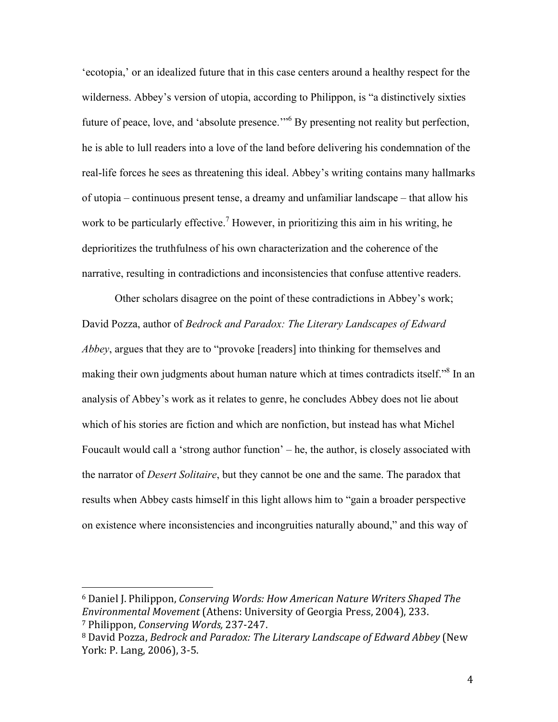'ecotopia,' or an idealized future that in this case centers around a healthy respect for the wilderness. Abbey's version of utopia, according to Philippon, is "a distinctively sixties future of peace, love, and 'absolute presence.'"<sup>6</sup> By presenting not reality but perfection, he is able to lull readers into a love of the land before delivering his condemnation of the real-life forces he sees as threatening this ideal. Abbey's writing contains many hallmarks of utopia – continuous present tense, a dreamy and unfamiliar landscape – that allow his work to be particularly effective.<sup>7</sup> However, in prioritizing this aim in his writing, he deprioritizes the truthfulness of his own characterization and the coherence of the narrative, resulting in contradictions and inconsistencies that confuse attentive readers.

Other scholars disagree on the point of these contradictions in Abbey's work; David Pozza, author of *Bedrock and Paradox: The Literary Landscapes of Edward Abbey*, argues that they are to "provoke [readers] into thinking for themselves and making their own judgments about human nature which at times contradicts itself."8 In an analysis of Abbey's work as it relates to genre, he concludes Abbey does not lie about which of his stories are fiction and which are nonfiction, but instead has what Michel Foucault would call a 'strong author function' – he, the author, is closely associated with the narrator of *Desert Solitaire*, but they cannot be one and the same. The paradox that results when Abbey casts himself in this light allows him to "gain a broader perspective on existence where inconsistencies and incongruities naturally abound," and this way of

<sup>&</sup>lt;sup>6</sup> Daniel J. Philippon, *Conserving Words: How American Nature Writers Shaped The Environmental Movement* (Athens: University of Georgia Press, 2004), 233. <sup>7</sup> Philippon, *Conserving Words,* 237-247.

<sup>&</sup>lt;sup>8</sup> David Pozza, *Bedrock and Paradox: The Literary Landscape of Edward Abbey* (New York: P. Lang, 2006), 3-5.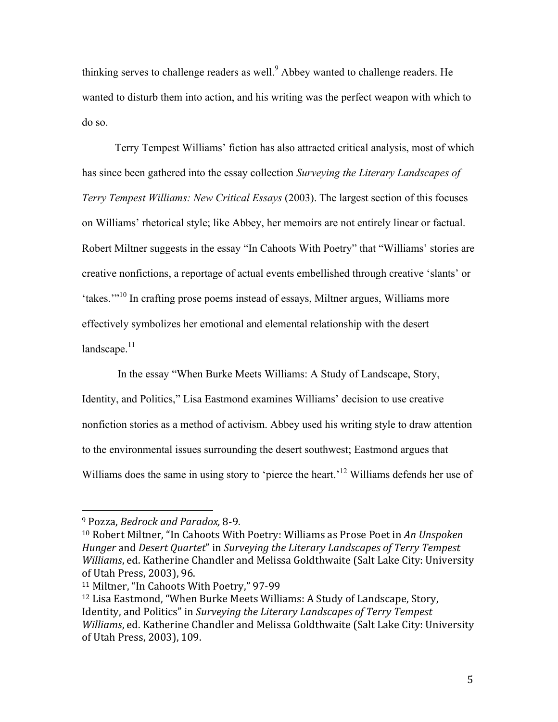thinking serves to challenge readers as well.<sup>9</sup> Abbey wanted to challenge readers. He wanted to disturb them into action, and his writing was the perfect weapon with which to do so.

Terry Tempest Williams' fiction has also attracted critical analysis, most of which has since been gathered into the essay collection *Surveying the Literary Landscapes of Terry Tempest Williams: New Critical Essays* (2003). The largest section of this focuses on Williams' rhetorical style; like Abbey, her memoirs are not entirely linear or factual. Robert Miltner suggests in the essay "In Cahoots With Poetry" that "Williams' stories are creative nonfictions, a reportage of actual events embellished through creative 'slants' or 'takes.'"<sup>10</sup> In crafting prose poems instead of essays, Miltner argues, Williams more effectively symbolizes her emotional and elemental relationship with the desert landscape. $11$ 

In the essay "When Burke Meets Williams: A Study of Landscape, Story, Identity, and Politics," Lisa Eastmond examines Williams' decision to use creative nonfiction stories as a method of activism. Abbey used his writing style to draw attention to the environmental issues surrounding the desert southwest; Eastmond argues that Williams does the same in using story to 'pierce the heart.<sup>12</sup> Williams defends her use of

<sup>&</sup>lt;sup>9</sup> Pozza, Bedrock and Paradox, 8-9.

<sup>&</sup>lt;sup>10</sup> Robert Miltner, "In Cahoots With Poetry: Williams as Prose Poet in An Unspoken *Hunger* and *Desert Quartet*" in *Surveying the Literary Landscapes of Terry Tempest Williams*, ed. Katherine Chandler and Melissa Goldthwaite (Salt Lake City: University of Utah Press, 2003), 96.

<sup>&</sup>lt;sup>11</sup> Miltner, "In Cahoots With Poetry," 97-99

<sup>&</sup>lt;sup>12</sup> Lisa Eastmond, "When Burke Meets Williams: A Study of Landscape, Story, Identity, and Politics" in *Surveying the Literary Landscapes of Terry Tempest Williams*, ed. Katherine Chandler and Melissa Goldthwaite (Salt Lake City: University of Utah Press, 2003), 109.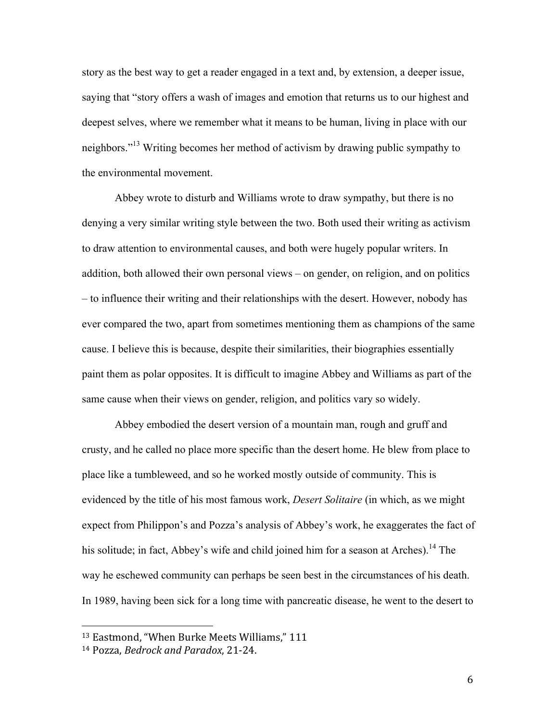story as the best way to get a reader engaged in a text and, by extension, a deeper issue, saying that "story offers a wash of images and emotion that returns us to our highest and deepest selves, where we remember what it means to be human, living in place with our neighbors."<sup>13</sup> Writing becomes her method of activism by drawing public sympathy to the environmental movement.

Abbey wrote to disturb and Williams wrote to draw sympathy, but there is no denying a very similar writing style between the two. Both used their writing as activism to draw attention to environmental causes, and both were hugely popular writers. In addition, both allowed their own personal views – on gender, on religion, and on politics – to influence their writing and their relationships with the desert. However, nobody has ever compared the two, apart from sometimes mentioning them as champions of the same cause. I believe this is because, despite their similarities, their biographies essentially paint them as polar opposites. It is difficult to imagine Abbey and Williams as part of the same cause when their views on gender, religion, and politics vary so widely.

Abbey embodied the desert version of a mountain man, rough and gruff and crusty, and he called no place more specific than the desert home. He blew from place to place like a tumbleweed, and so he worked mostly outside of community. This is evidenced by the title of his most famous work, *Desert Solitaire* (in which, as we might expect from Philippon's and Pozza's analysis of Abbey's work, he exaggerates the fact of his solitude; in fact, Abbey's wife and child joined him for a season at Arches).<sup>14</sup> The way he eschewed community can perhaps be seen best in the circumstances of his death. In 1989, having been sick for a long time with pancreatic disease, he went to the desert to

<sup>&</sup>lt;sup>13</sup> Eastmond, "When Burke Meets Williams," 111

<sup>14</sup> Pozza, *Bedrock and Paradox*, 21-24.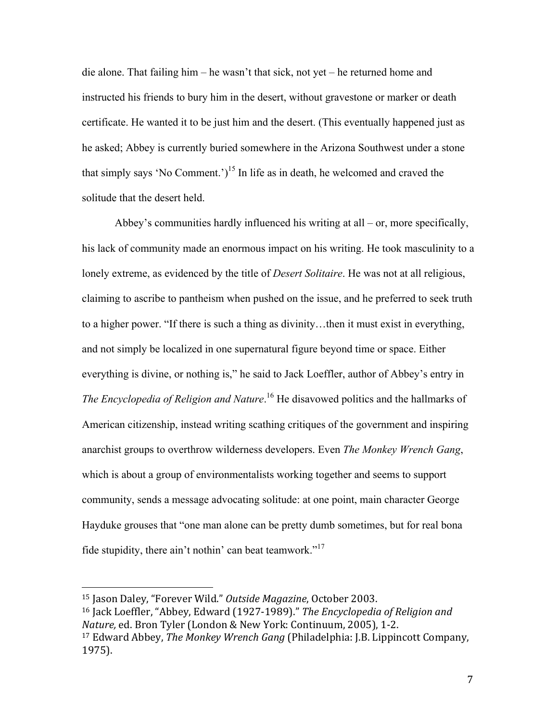die alone. That failing him – he wasn't that sick, not yet – he returned home and instructed his friends to bury him in the desert, without gravestone or marker or death certificate. He wanted it to be just him and the desert. (This eventually happened just as he asked; Abbey is currently buried somewhere in the Arizona Southwest under a stone that simply says 'No Comment.')<sup>15</sup> In life as in death, he welcomed and craved the solitude that the desert held.

Abbey's communities hardly influenced his writing at all – or, more specifically, his lack of community made an enormous impact on his writing. He took masculinity to a lonely extreme, as evidenced by the title of *Desert Solitaire*. He was not at all religious, claiming to ascribe to pantheism when pushed on the issue, and he preferred to seek truth to a higher power. "If there is such a thing as divinity…then it must exist in everything, and not simply be localized in one supernatural figure beyond time or space. Either everything is divine, or nothing is," he said to Jack Loeffler, author of Abbey's entry in The Encyclopedia of Religion and Nature.<sup>16</sup> He disavowed politics and the hallmarks of American citizenship, instead writing scathing critiques of the government and inspiring anarchist groups to overthrow wilderness developers. Even *The Monkey Wrench Gang*, which is about a group of environmentalists working together and seems to support community, sends a message advocating solitude: at one point, main character George Hayduke grouses that "one man alone can be pretty dumb sometimes, but for real bona fide stupidity, there ain't nothin' can beat teamwork."17

<sup>15</sup> Jason Daley, "Forever Wild." Outside Magazine, October 2003. <sup>16</sup> Jack Loeffler, "Abbey, Edward (1927-1989)." The Encyclopedia of Religion and *Nature, ed. Bron Tyler (London & New York: Continuum, 2005), 1-2.* <sup>17</sup> Edward Abbey, *The Monkey Wrench Gang* (Philadelphia: J.B. Lippincott Company, 1975).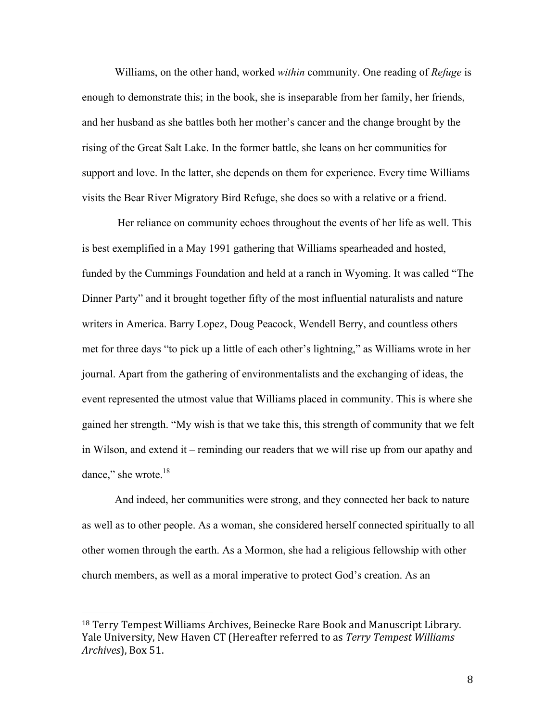Williams, on the other hand, worked *within* community. One reading of *Refuge* is enough to demonstrate this; in the book, she is inseparable from her family, her friends, and her husband as she battles both her mother's cancer and the change brought by the rising of the Great Salt Lake. In the former battle, she leans on her communities for support and love. In the latter, she depends on them for experience. Every time Williams visits the Bear River Migratory Bird Refuge, she does so with a relative or a friend.

Her reliance on community echoes throughout the events of her life as well. This is best exemplified in a May 1991 gathering that Williams spearheaded and hosted, funded by the Cummings Foundation and held at a ranch in Wyoming. It was called "The Dinner Party" and it brought together fifty of the most influential naturalists and nature writers in America. Barry Lopez, Doug Peacock, Wendell Berry, and countless others met for three days "to pick up a little of each other's lightning," as Williams wrote in her journal. Apart from the gathering of environmentalists and the exchanging of ideas, the event represented the utmost value that Williams placed in community. This is where she gained her strength. "My wish is that we take this, this strength of community that we felt in Wilson, and extend it – reminding our readers that we will rise up from our apathy and dance," she wrote.<sup>18</sup>

And indeed, her communities were strong, and they connected her back to nature as well as to other people. As a woman, she considered herself connected spiritually to all other women through the earth. As a Mormon, she had a religious fellowship with other church members, as well as a moral imperative to protect God's creation. As an

<sup>&</sup>lt;sup>18</sup> Terry Tempest Williams Archives, Beinecke Rare Book and Manuscript Library. Yale University, New Haven CT (Hereafter referred to as *Terry Tempest Williams Archives*), Box 51.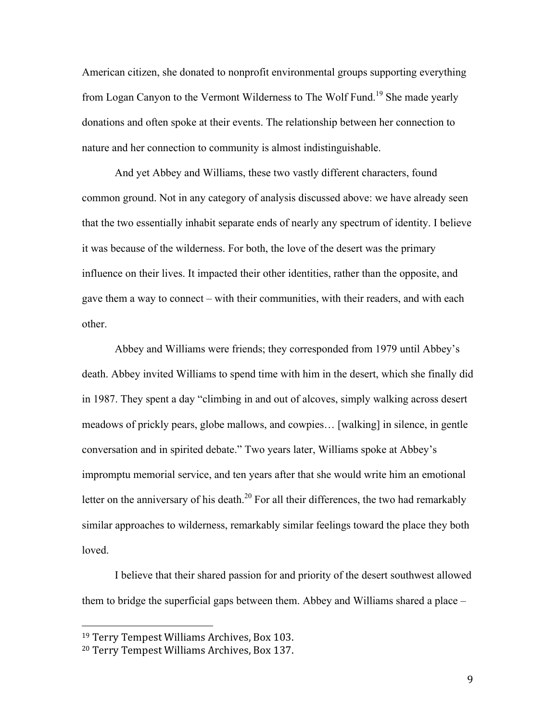American citizen, she donated to nonprofit environmental groups supporting everything from Logan Canyon to the Vermont Wilderness to The Wolf Fund.<sup>19</sup> She made yearly donations and often spoke at their events. The relationship between her connection to nature and her connection to community is almost indistinguishable.

And yet Abbey and Williams, these two vastly different characters, found common ground. Not in any category of analysis discussed above: we have already seen that the two essentially inhabit separate ends of nearly any spectrum of identity. I believe it was because of the wilderness. For both, the love of the desert was the primary influence on their lives. It impacted their other identities, rather than the opposite, and gave them a way to connect – with their communities, with their readers, and with each other.

Abbey and Williams were friends; they corresponded from 1979 until Abbey's death. Abbey invited Williams to spend time with him in the desert, which she finally did in 1987. They spent a day "climbing in and out of alcoves, simply walking across desert meadows of prickly pears, globe mallows, and cowpies… [walking] in silence, in gentle conversation and in spirited debate." Two years later, Williams spoke at Abbey's impromptu memorial service, and ten years after that she would write him an emotional letter on the anniversary of his death.<sup>20</sup> For all their differences, the two had remarkably similar approaches to wilderness, remarkably similar feelings toward the place they both loved.

I believe that their shared passion for and priority of the desert southwest allowed them to bridge the superficial gaps between them. Abbey and Williams shared a place –

<sup>&</sup>lt;sup>19</sup> Terry Tempest Williams Archives, Box 103.

<sup>&</sup>lt;sup>20</sup> Terry Tempest Williams Archives, Box 137.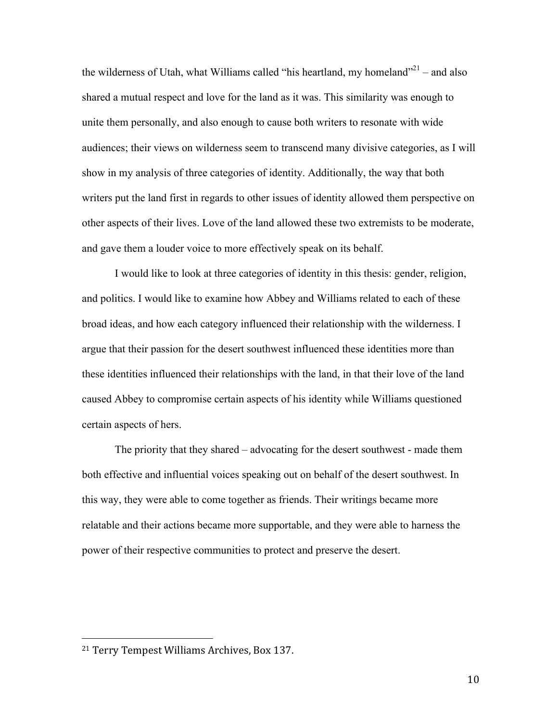the wilderness of Utah, what Williams called "his heartland, my homeland"<sup>21</sup> – and also shared a mutual respect and love for the land as it was. This similarity was enough to unite them personally, and also enough to cause both writers to resonate with wide audiences; their views on wilderness seem to transcend many divisive categories, as I will show in my analysis of three categories of identity. Additionally, the way that both writers put the land first in regards to other issues of identity allowed them perspective on other aspects of their lives. Love of the land allowed these two extremists to be moderate, and gave them a louder voice to more effectively speak on its behalf.

I would like to look at three categories of identity in this thesis: gender, religion, and politics. I would like to examine how Abbey and Williams related to each of these broad ideas, and how each category influenced their relationship with the wilderness. I argue that their passion for the desert southwest influenced these identities more than these identities influenced their relationships with the land, in that their love of the land caused Abbey to compromise certain aspects of his identity while Williams questioned certain aspects of hers.

The priority that they shared – advocating for the desert southwest - made them both effective and influential voices speaking out on behalf of the desert southwest. In this way, they were able to come together as friends. Their writings became more relatable and their actions became more supportable, and they were able to harness the power of their respective communities to protect and preserve the desert.

<sup>&</sup>lt;sup>21</sup> Terry Tempest Williams Archives, Box 137.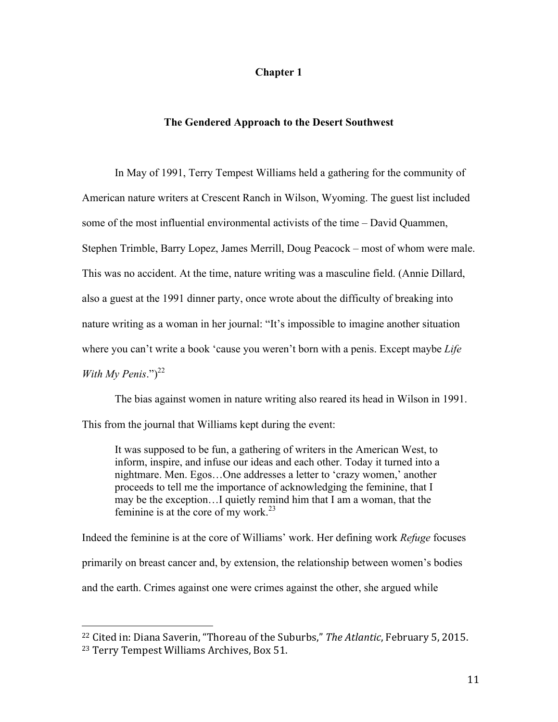# **Chapter 1**

# **The Gendered Approach to the Desert Southwest**

In May of 1991, Terry Tempest Williams held a gathering for the community of American nature writers at Crescent Ranch in Wilson, Wyoming. The guest list included some of the most influential environmental activists of the time – David Quammen, Stephen Trimble, Barry Lopez, James Merrill, Doug Peacock – most of whom were male. This was no accident. At the time, nature writing was a masculine field. (Annie Dillard, also a guest at the 1991 dinner party, once wrote about the difficulty of breaking into nature writing as a woman in her journal: "It's impossible to imagine another situation where you can't write a book 'cause you weren't born with a penis. Except maybe *Life With My Penis*." $)^{22}$ 

The bias against women in nature writing also reared its head in Wilson in 1991. This from the journal that Williams kept during the event:

It was supposed to be fun, a gathering of writers in the American West, to inform, inspire, and infuse our ideas and each other. Today it turned into a nightmare. Men. Egos…One addresses a letter to 'crazy women,' another proceeds to tell me the importance of acknowledging the feminine, that I may be the exception…I quietly remind him that I am a woman, that the feminine is at the core of my work. $^{23}$ 

Indeed the feminine is at the core of Williams' work. Her defining work *Refuge* focuses primarily on breast cancer and, by extension, the relationship between women's bodies and the earth. Crimes against one were crimes against the other, she argued while

<sup>&</sup>lt;sup>22</sup> Cited in: Diana Saverin, "Thoreau of the Suburbs," The Atlantic, February 5, 2015. <sup>23</sup> Terry Tempest Williams Archives, Box 51.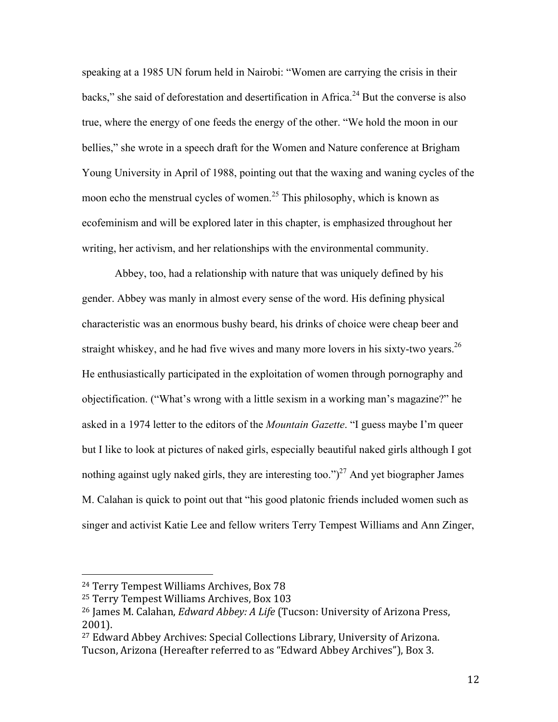speaking at a 1985 UN forum held in Nairobi: "Women are carrying the crisis in their backs," she said of deforestation and desertification in Africa.<sup>24</sup> But the converse is also true, where the energy of one feeds the energy of the other. "We hold the moon in our bellies," she wrote in a speech draft for the Women and Nature conference at Brigham Young University in April of 1988, pointing out that the waxing and waning cycles of the moon echo the menstrual cycles of women.<sup>25</sup> This philosophy, which is known as ecofeminism and will be explored later in this chapter, is emphasized throughout her writing, her activism, and her relationships with the environmental community.

Abbey, too, had a relationship with nature that was uniquely defined by his gender. Abbey was manly in almost every sense of the word. His defining physical characteristic was an enormous bushy beard, his drinks of choice were cheap beer and straight whiskey, and he had five wives and many more lovers in his sixty-two years.<sup>26</sup> He enthusiastically participated in the exploitation of women through pornography and objectification. ("What's wrong with a little sexism in a working man's magazine?" he asked in a 1974 letter to the editors of the *Mountain Gazette*. "I guess maybe I'm queer but I like to look at pictures of naked girls, especially beautiful naked girls although I got nothing against ugly naked girls, they are interesting too." $)^{27}$  And yet biographer James M. Calahan is quick to point out that "his good platonic friends included women such as singer and activist Katie Lee and fellow writers Terry Tempest Williams and Ann Zinger,

<sup>&</sup>lt;sup>24</sup> Terry Tempest Williams Archives, Box 78

<sup>&</sup>lt;sup>25</sup> Terry Tempest Williams Archives, Box 103

<sup>&</sup>lt;sup>26</sup> James M. Calahan, *Edward Abbey: A Life* (Tucson: University of Arizona Press, 2001).

<sup>&</sup>lt;sup>27</sup> Edward Abbey Archives: Special Collections Library, University of Arizona. Tucson, Arizona (Hereafter referred to as "Edward Abbey Archives"), Box 3.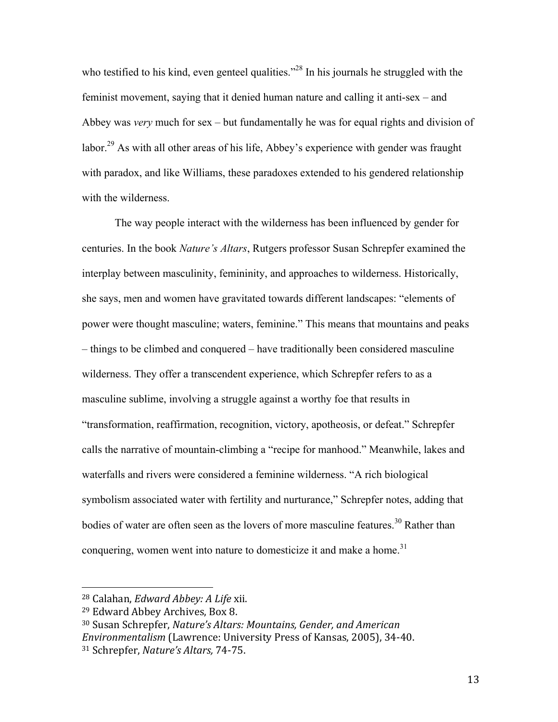who testified to his kind, even genteel qualities."<sup>28</sup> In his journals he struggled with the feminist movement, saying that it denied human nature and calling it anti-sex – and Abbey was *very* much for sex – but fundamentally he was for equal rights and division of labor.<sup>29</sup> As with all other areas of his life, Abbey's experience with gender was fraught with paradox, and like Williams, these paradoxes extended to his gendered relationship with the wilderness.

The way people interact with the wilderness has been influenced by gender for centuries. In the book *Nature's Altars*, Rutgers professor Susan Schrepfer examined the interplay between masculinity, femininity, and approaches to wilderness. Historically, she says, men and women have gravitated towards different landscapes: "elements of power were thought masculine; waters, feminine." This means that mountains and peaks – things to be climbed and conquered – have traditionally been considered masculine wilderness. They offer a transcendent experience, which Schrepfer refers to as a masculine sublime, involving a struggle against a worthy foe that results in "transformation, reaffirmation, recognition, victory, apotheosis, or defeat." Schrepfer calls the narrative of mountain-climbing a "recipe for manhood." Meanwhile, lakes and waterfalls and rivers were considered a feminine wilderness. "A rich biological symbolism associated water with fertility and nurturance," Schrepfer notes, adding that bodies of water are often seen as the lovers of more masculine features.<sup>30</sup> Rather than conquering, women went into nature to domesticize it and make a home.<sup>31</sup>

<sup>&</sup>lt;sup>28</sup> Calahan, *Edward Abbey: A Life* xii.

<sup>&</sup>lt;sup>29</sup> Edward Abbey Archives, Box 8.

<sup>&</sup>lt;sup>30</sup> Susan Schrepfer, *Nature's Altars: Mountains, Gender, and American* 

*Environmentalism* (Lawrence: University Press of Kansas, 2005), 34-40.

<sup>31</sup> Schrepfer, *Nature's Altars,* 74-75.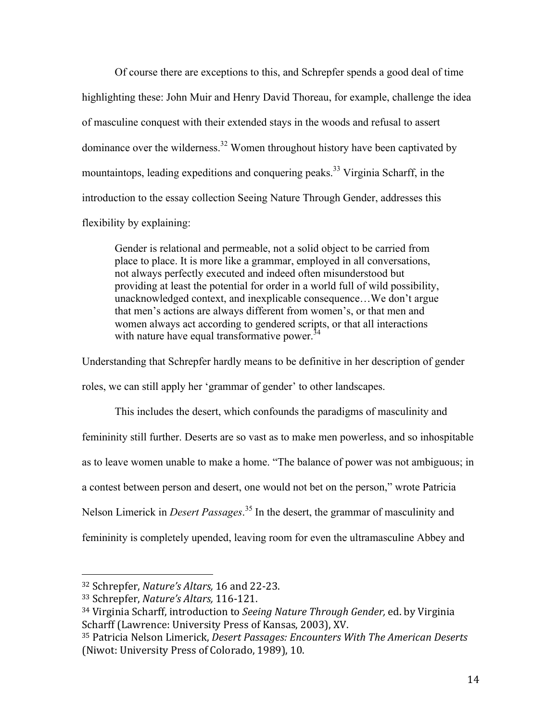Of course there are exceptions to this, and Schrepfer spends a good deal of time highlighting these: John Muir and Henry David Thoreau, for example, challenge the idea of masculine conquest with their extended stays in the woods and refusal to assert dominance over the wilderness.<sup>32</sup> Women throughout history have been captivated by mountaintops, leading expeditions and conquering peaks.<sup>33</sup> Virginia Scharff, in the introduction to the essay collection Seeing Nature Through Gender, addresses this flexibility by explaining:

Gender is relational and permeable, not a solid object to be carried from place to place. It is more like a grammar, employed in all conversations, not always perfectly executed and indeed often misunderstood but providing at least the potential for order in a world full of wild possibility, unacknowledged context, and inexplicable consequence…We don't argue that men's actions are always different from women's, or that men and women always act according to gendered scripts, or that all interactions with nature have equal transformative power.<sup>34</sup>

Understanding that Schrepfer hardly means to be definitive in her description of gender roles, we can still apply her 'grammar of gender' to other landscapes.

This includes the desert, which confounds the paradigms of masculinity and femininity still further. Deserts are so vast as to make men powerless, and so inhospitable as to leave women unable to make a home. "The balance of power was not ambiguous; in a contest between person and desert, one would not bet on the person," wrote Patricia Nelson Limerick in *Desert Passages*. <sup>35</sup> In the desert, the grammar of masculinity and femininity is completely upended, leaving room for even the ultramasculine Abbey and

<sup>&</sup>lt;sup>32</sup> Schrepfer, *Nature's Altars*, 16 and 22-23.

<sup>33</sup> Schrepfer, *Nature's Altars,* 116-121.

<sup>&</sup>lt;sup>34</sup> Virginia Scharff, introduction to *Seeing Nature Through Gender*, ed. by Virginia Scharff (Lawrence: University Press of Kansas, 2003), XV.

<sup>&</sup>lt;sup>35</sup> Patricia Nelson Limerick, *Desert Passages: Encounters With The American Deserts* (Niwot: University Press of Colorado, 1989), 10.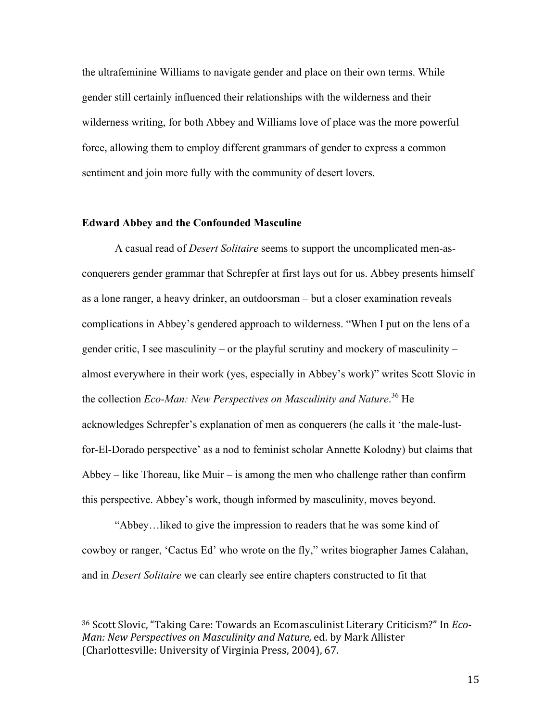the ultrafeminine Williams to navigate gender and place on their own terms. While gender still certainly influenced their relationships with the wilderness and their wilderness writing, for both Abbey and Williams love of place was the more powerful force, allowing them to employ different grammars of gender to express a common sentiment and join more fully with the community of desert lovers.

# **Edward Abbey and the Confounded Masculine**

 

A casual read of *Desert Solitaire* seems to support the uncomplicated men-asconquerers gender grammar that Schrepfer at first lays out for us. Abbey presents himself as a lone ranger, a heavy drinker, an outdoorsman – but a closer examination reveals complications in Abbey's gendered approach to wilderness. "When I put on the lens of a gender critic, I see masculinity – or the playful scrutiny and mockery of masculinity – almost everywhere in their work (yes, especially in Abbey's work)" writes Scott Slovic in the collection *Eco-Man: New Perspectives on Masculinity and Nature*. <sup>36</sup> He acknowledges Schrepfer's explanation of men as conquerers (he calls it 'the male-lustfor-El-Dorado perspective' as a nod to feminist scholar Annette Kolodny) but claims that Abbey – like Thoreau, like Muir – is among the men who challenge rather than confirm this perspective. Abbey's work, though informed by masculinity, moves beyond.

"Abbey…liked to give the impression to readers that he was some kind of cowboy or ranger, 'Cactus Ed' who wrote on the fly," writes biographer James Calahan, and in *Desert Solitaire* we can clearly see entire chapters constructed to fit that

<sup>&</sup>lt;sup>36</sup> Scott Slovic, "Taking Care: Towards an Ecomasculinist Literary Criticism?" In *Eco-Man: New Perspectives on Masculinity and Nature, ed. by Mark Allister* (Charlottesville: University of Virginia Press, 2004), 67.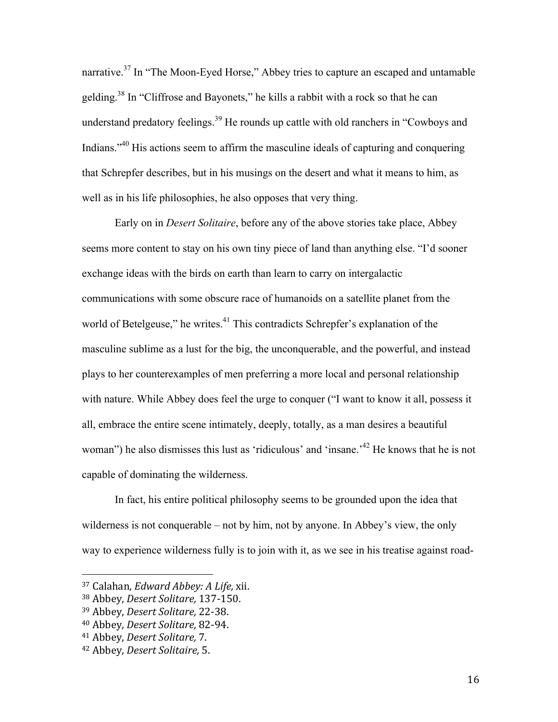narrative.37 In "The Moon-Eyed Horse," Abbey tries to capture an escaped and untamable gelding.38 In "Cliffrose and Bayonets," he kills a rabbit with a rock so that he can understand predatory feelings.<sup>39</sup> He rounds up cattle with old ranchers in "Cowboys and Indians."<sup>40</sup> His actions seem to affirm the masculine ideals of capturing and conquering that Schrepfer describes, but in his musings on the desert and what it means to him, as well as in his life philosophies, he also opposes that very thing.

Early on in *Desert Solitaire*, before any of the above stories take place, Abbey seems more content to stay on his own tiny piece of land than anything else. "I'd sooner exchange ideas with the birds on earth than learn to carry on intergalactic communications with some obscure race of humanoids on a satellite planet from the world of Betelgeuse," he writes.<sup>41</sup> This contradicts Schrepfer's explanation of the masculine sublime as a lust for the big, the unconquerable, and the powerful, and instead plays to her counterexamples of men preferring a more local and personal relationship with nature. While Abbey does feel the urge to conquer ("I want to know it all, possess it all, embrace the entire scene intimately, deeply, totally, as a man desires a beautiful woman") he also dismisses this lust as 'ridiculous' and 'insane.<sup>42</sup> He knows that he is not capable of dominating the wilderness.

In fact, his entire political philosophy seems to be grounded upon the idea that wilderness is not conquerable – not by him, not by anyone. In Abbey's view, the only way to experience wilderness fully is to join with it, as we see in his treatise against road-

<sup>37</sup> Calahan, *Edward Abbey: A Life,* xii.

<sup>38</sup> Abbey, *Desert Solitare,* 137-150.

<sup>39</sup> Abbey, *Desert Solitare,* 22-38.

<sup>40</sup> Abbey, *Desert Solitare,* 82-94.

<sup>41</sup> Abbey, *Desert Solitare*, 7.

<sup>42</sup> Abbey, *Desert Solitaire,* 5.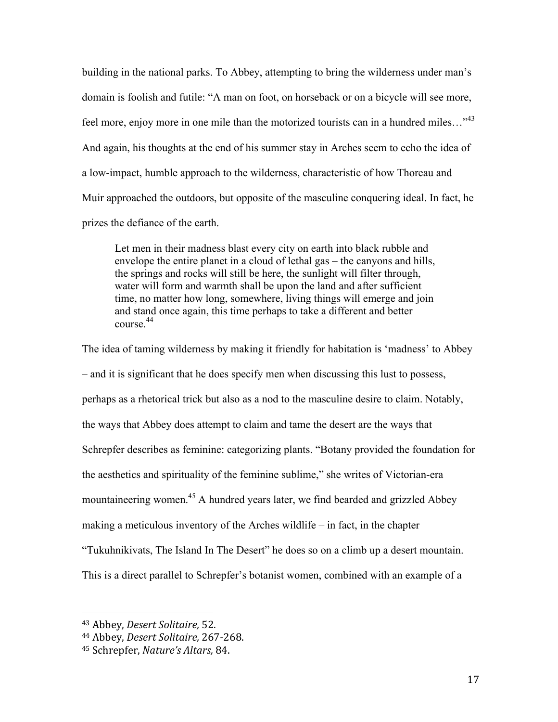building in the national parks. To Abbey, attempting to bring the wilderness under man's domain is foolish and futile: "A man on foot, on horseback or on a bicycle will see more, feel more, enjoy more in one mile than the motorized tourists can in a hundred miles...<sup>43</sup> And again, his thoughts at the end of his summer stay in Arches seem to echo the idea of a low-impact, humble approach to the wilderness, characteristic of how Thoreau and Muir approached the outdoors, but opposite of the masculine conquering ideal. In fact, he prizes the defiance of the earth.

Let men in their madness blast every city on earth into black rubble and envelope the entire planet in a cloud of lethal gas – the canyons and hills, the springs and rocks will still be here, the sunlight will filter through, water will form and warmth shall be upon the land and after sufficient time, no matter how long, somewhere, living things will emerge and join and stand once again, this time perhaps to take a different and better course.<sup>44</sup>

The idea of taming wilderness by making it friendly for habitation is 'madness' to Abbey – and it is significant that he does specify men when discussing this lust to possess, perhaps as a rhetorical trick but also as a nod to the masculine desire to claim. Notably, the ways that Abbey does attempt to claim and tame the desert are the ways that Schrepfer describes as feminine: categorizing plants. "Botany provided the foundation for the aesthetics and spirituality of the feminine sublime," she writes of Victorian-era mountaineering women.<sup>45</sup> A hundred years later, we find bearded and grizzled Abbey making a meticulous inventory of the Arches wildlife – in fact, in the chapter "Tukuhnikivats, The Island In The Desert" he does so on a climb up a desert mountain. This is a direct parallel to Schrepfer's botanist women, combined with an example of a

 <sup>43</sup> Abbey, *Desert Solitaire,* 52.

<sup>44</sup> Abbey, *Desert Solitaire,* 267-268.

<sup>&</sup>lt;sup>45</sup> Schrepfer, *Nature's Altars*, 84.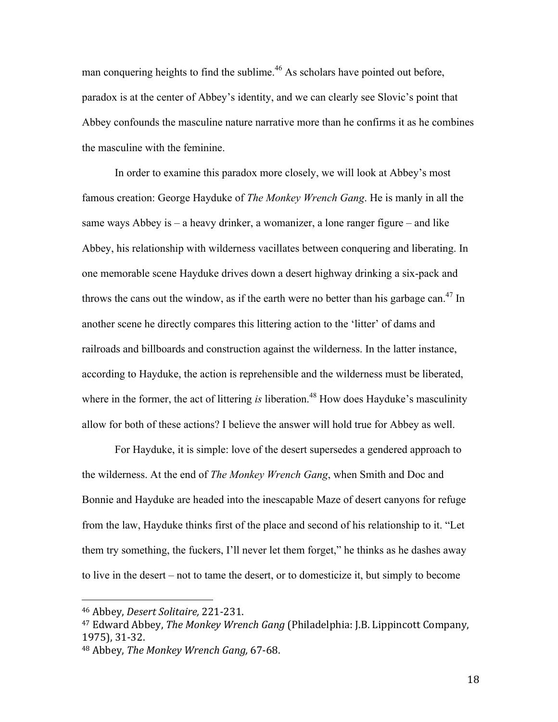man conquering heights to find the sublime.<sup>46</sup> As scholars have pointed out before, paradox is at the center of Abbey's identity, and we can clearly see Slovic's point that Abbey confounds the masculine nature narrative more than he confirms it as he combines the masculine with the feminine.

In order to examine this paradox more closely, we will look at Abbey's most famous creation: George Hayduke of *The Monkey Wrench Gang*. He is manly in all the same ways Abbey is – a heavy drinker, a womanizer, a lone ranger figure – and like Abbey, his relationship with wilderness vacillates between conquering and liberating. In one memorable scene Hayduke drives down a desert highway drinking a six-pack and throws the cans out the window, as if the earth were no better than his garbage can.<sup>47</sup> In another scene he directly compares this littering action to the 'litter' of dams and railroads and billboards and construction against the wilderness. In the latter instance, according to Hayduke, the action is reprehensible and the wilderness must be liberated, where in the former, the act of littering *is* liberation.<sup>48</sup> How does Hayduke's masculinity allow for both of these actions? I believe the answer will hold true for Abbey as well.

For Hayduke, it is simple: love of the desert supersedes a gendered approach to the wilderness. At the end of *The Monkey Wrench Gang*, when Smith and Doc and Bonnie and Hayduke are headed into the inescapable Maze of desert canyons for refuge from the law, Hayduke thinks first of the place and second of his relationship to it. "Let them try something, the fuckers, I'll never let them forget," he thinks as he dashes away to live in the desert – not to tame the desert, or to domesticize it, but simply to become

<sup>46</sup> Abbey, *Desert Solitaire,* 221-231.

<sup>&</sup>lt;sup>47</sup> Edward Abbey, *The Monkey Wrench Gang* (Philadelphia: J.B. Lippincott Company, 1975), 31-32.

<sup>&</sup>lt;sup>48</sup> Abbey, *The Monkey Wrench Gang, 67-68.*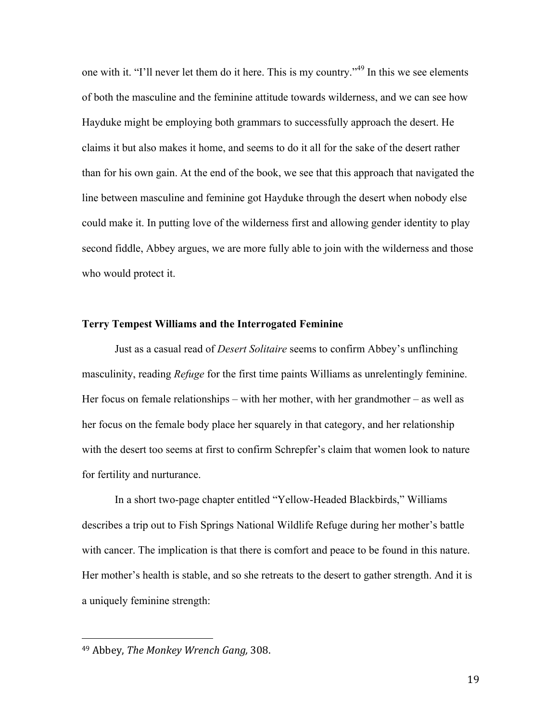one with it. "I'll never let them do it here. This is my country."<sup>49</sup> In this we see elements of both the masculine and the feminine attitude towards wilderness, and we can see how Hayduke might be employing both grammars to successfully approach the desert. He claims it but also makes it home, and seems to do it all for the sake of the desert rather than for his own gain. At the end of the book, we see that this approach that navigated the line between masculine and feminine got Hayduke through the desert when nobody else could make it. In putting love of the wilderness first and allowing gender identity to play second fiddle, Abbey argues, we are more fully able to join with the wilderness and those who would protect it.

#### **Terry Tempest Williams and the Interrogated Feminine**

Just as a casual read of *Desert Solitaire* seems to confirm Abbey's unflinching masculinity, reading *Refuge* for the first time paints Williams as unrelentingly feminine. Her focus on female relationships – with her mother, with her grandmother – as well as her focus on the female body place her squarely in that category, and her relationship with the desert too seems at first to confirm Schrepfer's claim that women look to nature for fertility and nurturance.

In a short two-page chapter entitled "Yellow-Headed Blackbirds," Williams describes a trip out to Fish Springs National Wildlife Refuge during her mother's battle with cancer. The implication is that there is comfort and peace to be found in this nature. Her mother's health is stable, and so she retreats to the desert to gather strength. And it is a uniquely feminine strength:

<sup>&</sup>lt;sup>49</sup> Abbey, *The Monkey Wrench Gang*, 308.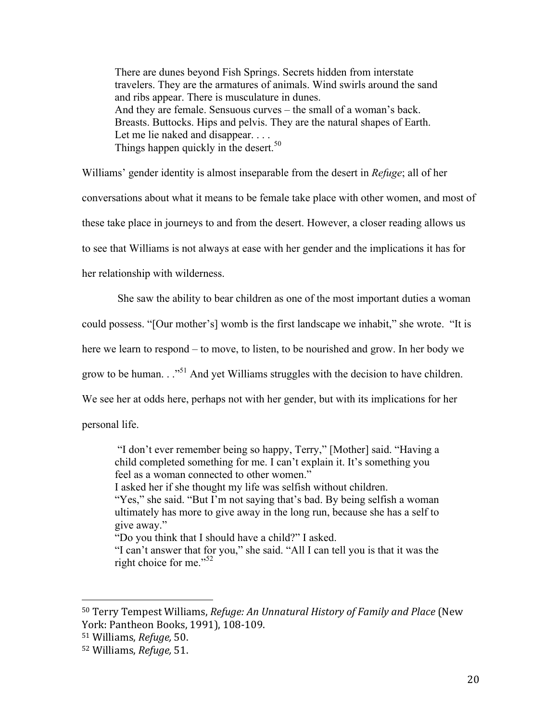There are dunes beyond Fish Springs. Secrets hidden from interstate travelers. They are the armatures of animals. Wind swirls around the sand and ribs appear. There is musculature in dunes. And they are female. Sensuous curves – the small of a woman's back. Breasts. Buttocks. Hips and pelvis. They are the natural shapes of Earth. Let me lie naked and disappear. . . . Things happen quickly in the desert.<sup>50</sup>

Williams' gender identity is almost inseparable from the desert in *Refuge*; all of her conversations about what it means to be female take place with other women, and most of these take place in journeys to and from the desert. However, a closer reading allows us to see that Williams is not always at ease with her gender and the implications it has for her relationship with wilderness.

She saw the ability to bear children as one of the most important duties a woman could possess. "[Our mother's] womb is the first landscape we inhabit," she wrote. "It is here we learn to respond – to move, to listen, to be nourished and grow. In her body we grow to be human.  $\cdot$ <sup>51</sup> And yet Williams struggles with the decision to have children. We see her at odds here, perhaps not with her gender, but with its implications for her

personal life.

"I don't ever remember being so happy, Terry," [Mother] said. "Having a child completed something for me. I can't explain it. It's something you feel as a woman connected to other women."

I asked her if she thought my life was selfish without children.

"Yes," she said. "But I'm not saying that's bad. By being selfish a woman ultimately has more to give away in the long run, because she has a self to give away."

"Do you think that I should have a child?" I asked.

"I can't answer that for you," she said. "All I can tell you is that it was the right choice for me."<sup>52</sup>

<sup>50</sup> Terry Tempest Williams, *Refuge: An Unnatural History of Family and Place* (New York: Pantheon Books, 1991), 108-109.

<sup>51</sup> Williams, *Refuge,* 50.

<sup>52</sup> Williams, *Refuge,* 51.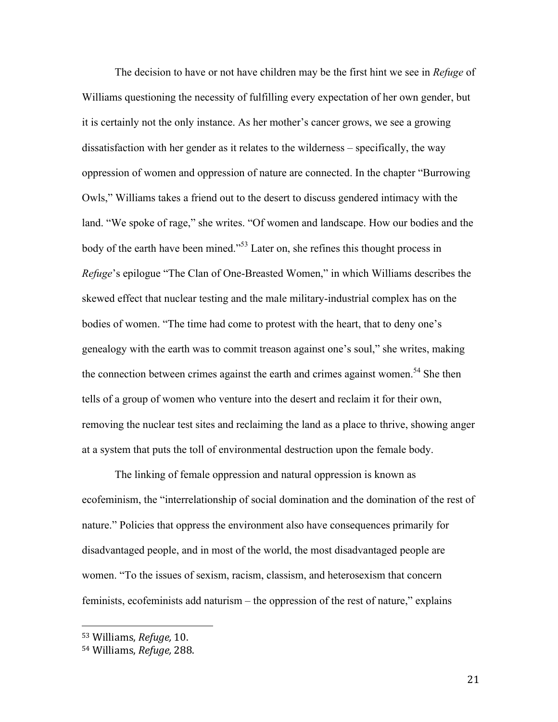The decision to have or not have children may be the first hint we see in *Refuge* of Williams questioning the necessity of fulfilling every expectation of her own gender, but it is certainly not the only instance. As her mother's cancer grows, we see a growing dissatisfaction with her gender as it relates to the wilderness – specifically, the way oppression of women and oppression of nature are connected. In the chapter "Burrowing Owls," Williams takes a friend out to the desert to discuss gendered intimacy with the land. "We spoke of rage," she writes. "Of women and landscape. How our bodies and the body of the earth have been mined."53 Later on, she refines this thought process in *Refuge*'s epilogue "The Clan of One-Breasted Women," in which Williams describes the skewed effect that nuclear testing and the male military-industrial complex has on the bodies of women. "The time had come to protest with the heart, that to deny one's genealogy with the earth was to commit treason against one's soul," she writes, making the connection between crimes against the earth and crimes against women.<sup>54</sup> She then tells of a group of women who venture into the desert and reclaim it for their own, removing the nuclear test sites and reclaiming the land as a place to thrive, showing anger at a system that puts the toll of environmental destruction upon the female body.

The linking of female oppression and natural oppression is known as ecofeminism, the "interrelationship of social domination and the domination of the rest of nature." Policies that oppress the environment also have consequences primarily for disadvantaged people, and in most of the world, the most disadvantaged people are women. "To the issues of sexism, racism, classism, and heterosexism that concern feminists, ecofeminists add naturism – the oppression of the rest of nature," explains

<sup>53</sup> Williams, *Refuge,* 10.

<sup>54</sup> Williams, *Refuge,* 288.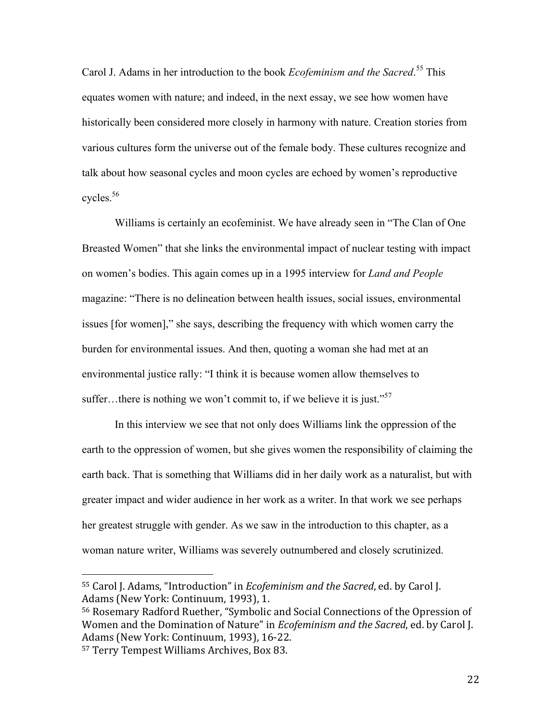Carol J. Adams in her introduction to the book *Ecofeminism and the Sacred*. <sup>55</sup> This equates women with nature; and indeed, in the next essay, we see how women have historically been considered more closely in harmony with nature. Creation stories from various cultures form the universe out of the female body. These cultures recognize and talk about how seasonal cycles and moon cycles are echoed by women's reproductive cycles.56

Williams is certainly an ecofeminist. We have already seen in "The Clan of One Breasted Women" that she links the environmental impact of nuclear testing with impact on women's bodies. This again comes up in a 1995 interview for *Land and People* magazine: "There is no delineation between health issues, social issues, environmental issues [for women]," she says, describing the frequency with which women carry the burden for environmental issues. And then, quoting a woman she had met at an environmental justice rally: "I think it is because women allow themselves to suffer...there is nothing we won't commit to, if we believe it is just."<sup>57</sup>

In this interview we see that not only does Williams link the oppression of the earth to the oppression of women, but she gives women the responsibility of claiming the earth back. That is something that Williams did in her daily work as a naturalist, but with greater impact and wider audience in her work as a writer. In that work we see perhaps her greatest struggle with gender. As we saw in the introduction to this chapter, as a woman nature writer, Williams was severely outnumbered and closely scrutinized.

<sup>55</sup> Carol J. Adams, "Introduction" in *Ecofeminism and the Sacred*, ed. by Carol J. Adams (New York: Continuum, 1993), 1.

<sup>56</sup> Rosemary Radford Ruether, "Symbolic and Social Connections of the Opression of Women and the Domination of Nature" in *Ecofeminism and the Sacred*, ed. by Carol J. Adams (New York: Continuum, 1993), 16-22.

<sup>&</sup>lt;sup>57</sup> Terry Tempest Williams Archives, Box 83.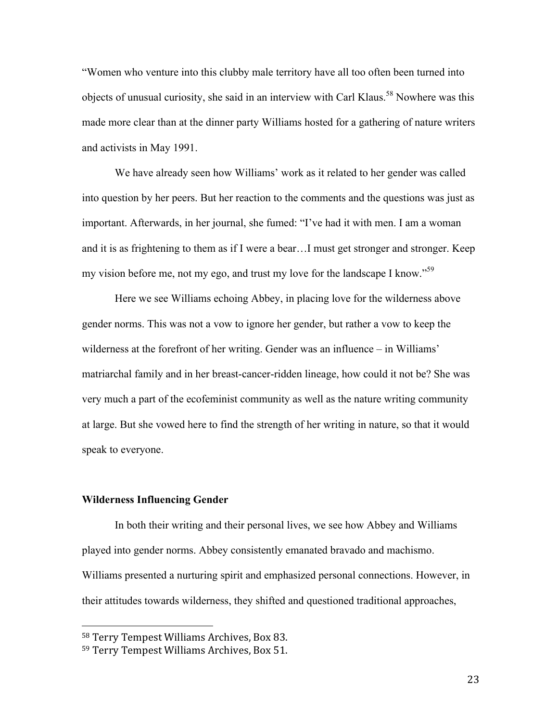"Women who venture into this clubby male territory have all too often been turned into objects of unusual curiosity, she said in an interview with Carl Klaus.<sup>58</sup> Nowhere was this made more clear than at the dinner party Williams hosted for a gathering of nature writers and activists in May 1991.

We have already seen how Williams' work as it related to her gender was called into question by her peers. But her reaction to the comments and the questions was just as important. Afterwards, in her journal, she fumed: "I've had it with men. I am a woman and it is as frightening to them as if I were a bear…I must get stronger and stronger. Keep my vision before me, not my ego, and trust my love for the landscape I know."<sup>59</sup>

Here we see Williams echoing Abbey, in placing love for the wilderness above gender norms. This was not a vow to ignore her gender, but rather a vow to keep the wilderness at the forefront of her writing. Gender was an influence – in Williams' matriarchal family and in her breast-cancer-ridden lineage, how could it not be? She was very much a part of the ecofeminist community as well as the nature writing community at large. But she vowed here to find the strength of her writing in nature, so that it would speak to everyone.

#### **Wilderness Influencing Gender**

 

In both their writing and their personal lives, we see how Abbey and Williams played into gender norms. Abbey consistently emanated bravado and machismo. Williams presented a nurturing spirit and emphasized personal connections. However, in their attitudes towards wilderness, they shifted and questioned traditional approaches,

<sup>&</sup>lt;sup>58</sup> Terry Tempest Williams Archives, Box 83.

<sup>59</sup> Terry Tempest Williams Archives, Box 51.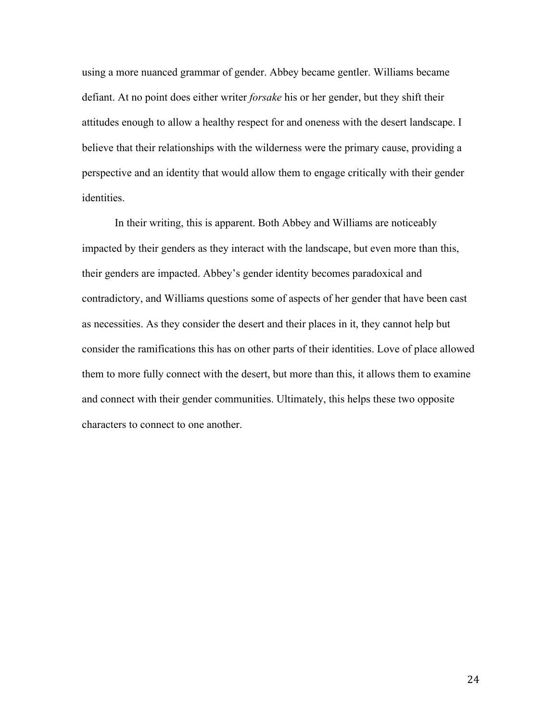using a more nuanced grammar of gender. Abbey became gentler. Williams became defiant. At no point does either writer *forsake* his or her gender, but they shift their attitudes enough to allow a healthy respect for and oneness with the desert landscape. I believe that their relationships with the wilderness were the primary cause, providing a perspective and an identity that would allow them to engage critically with their gender identities.

In their writing, this is apparent. Both Abbey and Williams are noticeably impacted by their genders as they interact with the landscape, but even more than this, their genders are impacted. Abbey's gender identity becomes paradoxical and contradictory, and Williams questions some of aspects of her gender that have been cast as necessities. As they consider the desert and their places in it, they cannot help but consider the ramifications this has on other parts of their identities. Love of place allowed them to more fully connect with the desert, but more than this, it allows them to examine and connect with their gender communities. Ultimately, this helps these two opposite characters to connect to one another.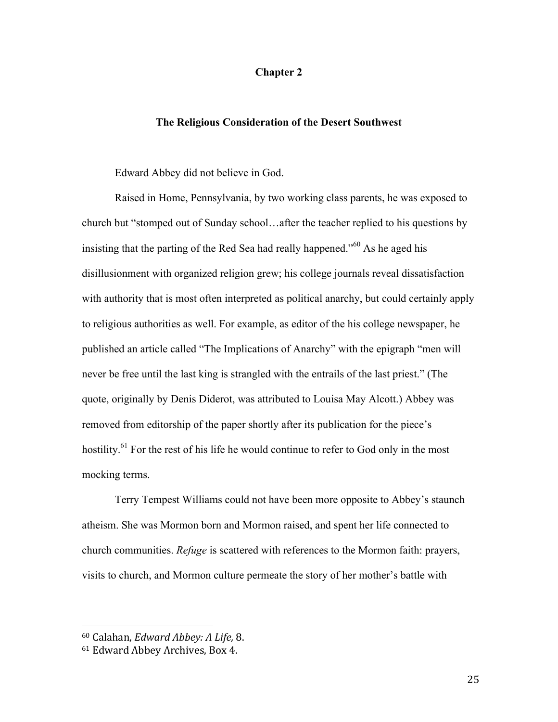# **Chapter 2**

## **The Religious Consideration of the Desert Southwest**

Edward Abbey did not believe in God.

Raised in Home, Pennsylvania, by two working class parents, he was exposed to church but "stomped out of Sunday school…after the teacher replied to his questions by insisting that the parting of the Red Sea had really happened.<sup> $100$ </sup> As he aged his disillusionment with organized religion grew; his college journals reveal dissatisfaction with authority that is most often interpreted as political anarchy, but could certainly apply to religious authorities as well. For example, as editor of the his college newspaper, he published an article called "The Implications of Anarchy" with the epigraph "men will never be free until the last king is strangled with the entrails of the last priest." (The quote, originally by Denis Diderot, was attributed to Louisa May Alcott.) Abbey was removed from editorship of the paper shortly after its publication for the piece's hostility.<sup>61</sup> For the rest of his life he would continue to refer to God only in the most mocking terms.

Terry Tempest Williams could not have been more opposite to Abbey's staunch atheism. She was Mormon born and Mormon raised, and spent her life connected to church communities. *Refuge* is scattered with references to the Mormon faith: prayers, visits to church, and Mormon culture permeate the story of her mother's battle with

<sup>60</sup> Calahan, *Edward Abbey: A Life,* 8.

<sup>&</sup>lt;sup>61</sup> Edward Abbey Archives, Box 4.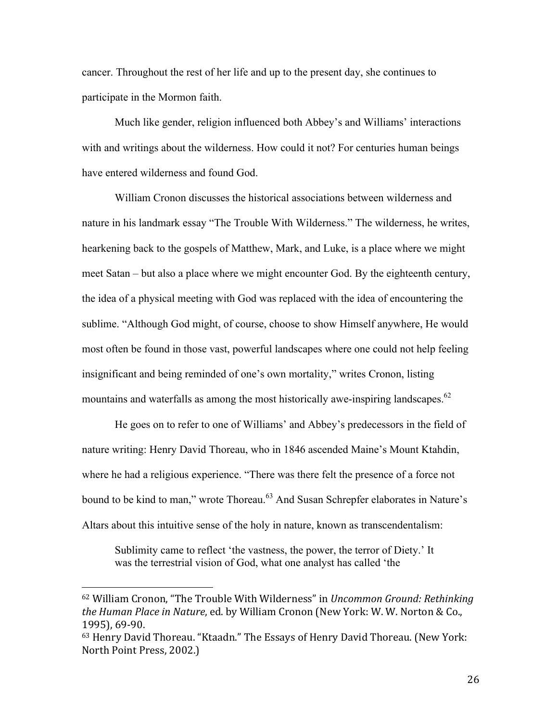cancer. Throughout the rest of her life and up to the present day, she continues to participate in the Mormon faith.

Much like gender, religion influenced both Abbey's and Williams' interactions with and writings about the wilderness. How could it not? For centuries human beings have entered wilderness and found God.

William Cronon discusses the historical associations between wilderness and nature in his landmark essay "The Trouble With Wilderness." The wilderness, he writes, hearkening back to the gospels of Matthew, Mark, and Luke, is a place where we might meet Satan – but also a place where we might encounter God. By the eighteenth century, the idea of a physical meeting with God was replaced with the idea of encountering the sublime. "Although God might, of course, choose to show Himself anywhere, He would most often be found in those vast, powerful landscapes where one could not help feeling insignificant and being reminded of one's own mortality," writes Cronon, listing mountains and waterfalls as among the most historically awe-inspiring landscapes.<sup>62</sup>

He goes on to refer to one of Williams' and Abbey's predecessors in the field of nature writing: Henry David Thoreau, who in 1846 ascended Maine's Mount Ktahdin, where he had a religious experience. "There was there felt the presence of a force not bound to be kind to man," wrote Thoreau.<sup>63</sup> And Susan Schrepfer elaborates in Nature's Altars about this intuitive sense of the holy in nature, known as transcendentalism:

Sublimity came to reflect 'the vastness, the power, the terror of Diety.' It was the terrestrial vision of God, what one analyst has called 'the

<sup>&</sup>lt;sup>62</sup> William Cronon, "The Trouble With Wilderness" in *Uncommon Ground: Rethinking the Human Place in Nature, ed.* by William Cronon (New York: W. W. Norton & Co., 1995), 69-90.

<sup>63</sup> Henry David Thoreau. "Ktaadn." The Essays of Henry David Thoreau. (New York: North Point Press, 2002.)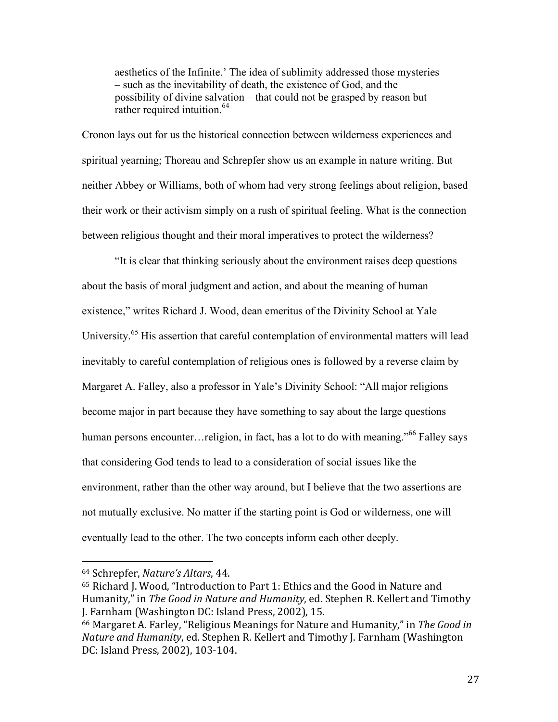aesthetics of the Infinite.' The idea of sublimity addressed those mysteries – such as the inevitability of death, the existence of God, and the possibility of divine salvation – that could not be grasped by reason but rather required intuition.<sup>64</sup>

Cronon lays out for us the historical connection between wilderness experiences and spiritual yearning; Thoreau and Schrepfer show us an example in nature writing. But neither Abbey or Williams, both of whom had very strong feelings about religion, based their work or their activism simply on a rush of spiritual feeling. What is the connection between religious thought and their moral imperatives to protect the wilderness?

"It is clear that thinking seriously about the environment raises deep questions about the basis of moral judgment and action, and about the meaning of human existence," writes Richard J. Wood, dean emeritus of the Divinity School at Yale University.<sup>65</sup> His assertion that careful contemplation of environmental matters will lead inevitably to careful contemplation of religious ones is followed by a reverse claim by Margaret A. Falley, also a professor in Yale's Divinity School: "All major religions become major in part because they have something to say about the large questions human persons encounter…religion, in fact, has a lot to do with meaning.<sup>566</sup> Falley says that considering God tends to lead to a consideration of social issues like the environment, rather than the other way around, but I believe that the two assertions are not mutually exclusive. No matter if the starting point is God or wilderness, one will eventually lead to the other. The two concepts inform each other deeply.

<sup>64</sup> Schrepfer, *Nature's Altars*, 44.

<sup>&</sup>lt;sup>65</sup> Richard J. Wood, "Introduction to Part 1: Ethics and the Good in Nature and Humanity," in *The Good in Nature and Humanity*, ed. Stephen R. Kellert and Timothy J. Farnham (Washington DC: Island Press, 2002), 15.

<sup>&</sup>lt;sup>66</sup> Margaret A. Farley, "Religious Meanings for Nature and Humanity," in The Good in *Nature and Humanity*, ed. Stephen R. Kellert and Timothy J. Farnham (Washington) DC: Island Press, 2002), 103-104.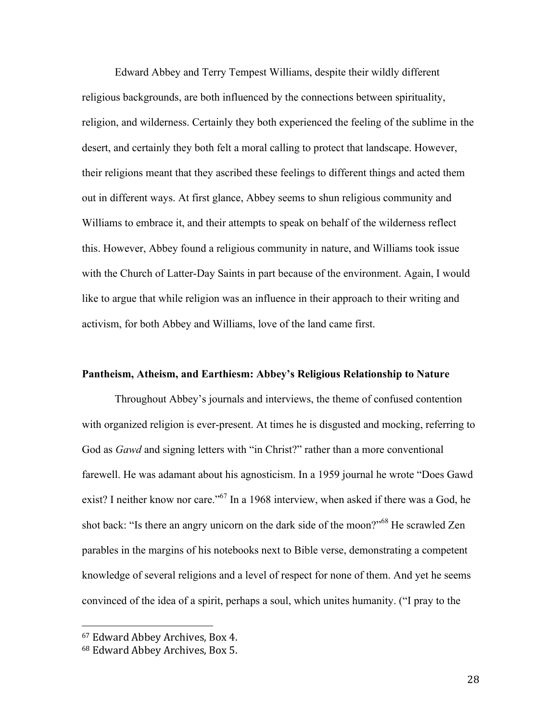Edward Abbey and Terry Tempest Williams, despite their wildly different religious backgrounds, are both influenced by the connections between spirituality, religion, and wilderness. Certainly they both experienced the feeling of the sublime in the desert, and certainly they both felt a moral calling to protect that landscape. However, their religions meant that they ascribed these feelings to different things and acted them out in different ways. At first glance, Abbey seems to shun religious community and Williams to embrace it, and their attempts to speak on behalf of the wilderness reflect this. However, Abbey found a religious community in nature, and Williams took issue with the Church of Latter-Day Saints in part because of the environment. Again, I would like to argue that while religion was an influence in their approach to their writing and activism, for both Abbey and Williams, love of the land came first.

## **Pantheism, Atheism, and Earthiesm: Abbey's Religious Relationship to Nature**

Throughout Abbey's journals and interviews, the theme of confused contention with organized religion is ever-present. At times he is disgusted and mocking, referring to God as *Gawd* and signing letters with "in Christ?" rather than a more conventional farewell. He was adamant about his agnosticism. In a 1959 journal he wrote "Does Gawd exist? I neither know nor care."<sup>67</sup> In a 1968 interview, when asked if there was a God, he shot back: "Is there an angry unicorn on the dark side of the moon?"<sup>68</sup> He scrawled Zen parables in the margins of his notebooks next to Bible verse, demonstrating a competent knowledge of several religions and a level of respect for none of them. And yet he seems convinced of the idea of a spirit, perhaps a soul, which unites humanity. ("I pray to the

<sup>&</sup>lt;sup>67</sup> Edward Abbey Archives, Box 4.

<sup>&</sup>lt;sup>68</sup> Edward Abbey Archives, Box 5.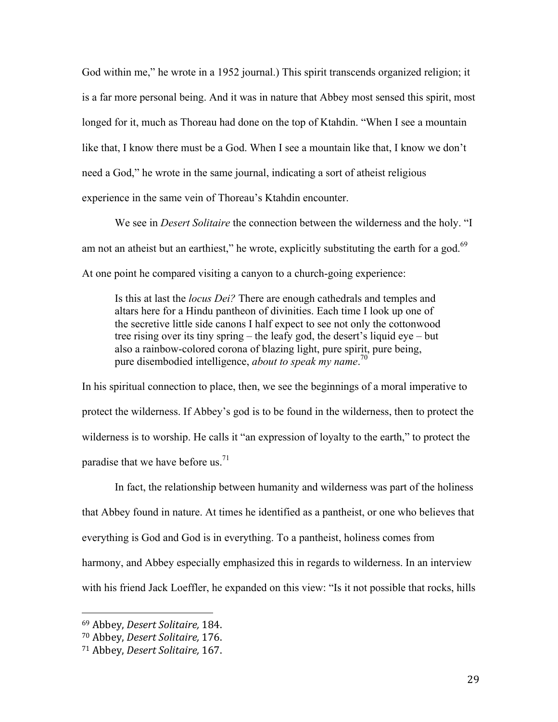God within me," he wrote in a 1952 journal.) This spirit transcends organized religion; it is a far more personal being. And it was in nature that Abbey most sensed this spirit, most longed for it, much as Thoreau had done on the top of Ktahdin. "When I see a mountain like that, I know there must be a God. When I see a mountain like that, I know we don't need a God," he wrote in the same journal, indicating a sort of atheist religious experience in the same vein of Thoreau's Ktahdin encounter.

We see in *Desert Solitaire* the connection between the wilderness and the holy. "I am not an atheist but an earthiest," he wrote, explicitly substituting the earth for a god.<sup>69</sup> At one point he compared visiting a canyon to a church-going experience:

Is this at last the *locus Dei?* There are enough cathedrals and temples and altars here for a Hindu pantheon of divinities. Each time I look up one of the secretive little side canons I half expect to see not only the cottonwood tree rising over its tiny spring – the leafy god, the desert's liquid eye – but also a rainbow-colored corona of blazing light, pure spirit, pure being, pure disembodied intelligence, *about to speak my name*. 70

In his spiritual connection to place, then, we see the beginnings of a moral imperative to protect the wilderness. If Abbey's god is to be found in the wilderness, then to protect the wilderness is to worship. He calls it "an expression of loyalty to the earth," to protect the paradise that we have before us.<sup>71</sup>

In fact, the relationship between humanity and wilderness was part of the holiness that Abbey found in nature. At times he identified as a pantheist, or one who believes that everything is God and God is in everything. To a pantheist, holiness comes from harmony, and Abbey especially emphasized this in regards to wilderness. In an interview with his friend Jack Loeffler, he expanded on this view: "Is it not possible that rocks, hills

 <sup>69</sup> Abbey, *Desert Solitaire,* 184.

<sup>70</sup> Abbey, *Desert Solitaire,* 176.

<sup>71</sup> Abbey, *Desert Solitaire,* 167.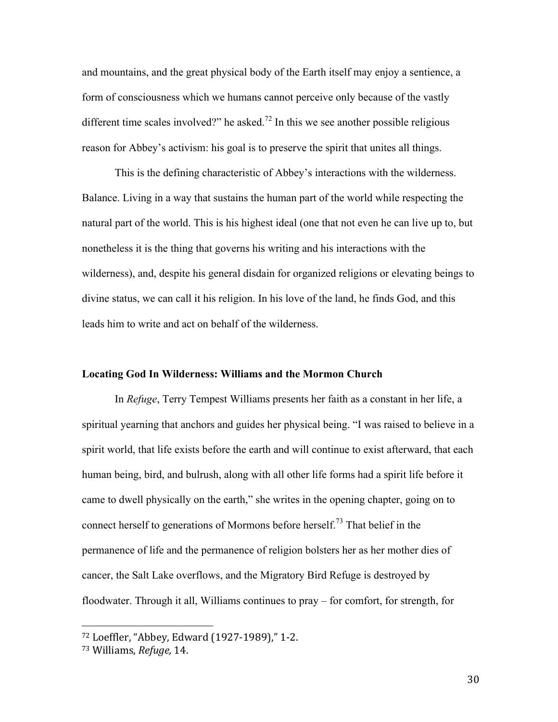and mountains, and the great physical body of the Earth itself may enjoy a sentience, a form of consciousness which we humans cannot perceive only because of the vastly different time scales involved?" he asked.<sup>72</sup> In this we see another possible religious reason for Abbey's activism: his goal is to preserve the spirit that unites all things.

This is the defining characteristic of Abbey's interactions with the wilderness. Balance. Living in a way that sustains the human part of the world while respecting the natural part of the world. This is his highest ideal (one that not even he can live up to, but nonetheless it is the thing that governs his writing and his interactions with the wilderness), and, despite his general disdain for organized religions or elevating beings to divine status, we can call it his religion. In his love of the land, he finds God, and this leads him to write and act on behalf of the wilderness.

## **Locating God In Wilderness: Williams and the Mormon Church**

In *Refuge*, Terry Tempest Williams presents her faith as a constant in her life, a spiritual yearning that anchors and guides her physical being. "I was raised to believe in a spirit world, that life exists before the earth and will continue to exist afterward, that each human being, bird, and bulrush, along with all other life forms had a spirit life before it came to dwell physically on the earth," she writes in the opening chapter, going on to connect herself to generations of Mormons before herself.<sup>73</sup> That belief in the permanence of life and the permanence of religion bolsters her as her mother dies of cancer, the Salt Lake overflows, and the Migratory Bird Refuge is destroyed by floodwater. Through it all, Williams continues to pray – for comfort, for strength, for

<sup>72</sup> Loeffler, "Abbey, Edward (1927-1989)," 1-2.

<sup>73</sup> Williams, *Refuge,* 14.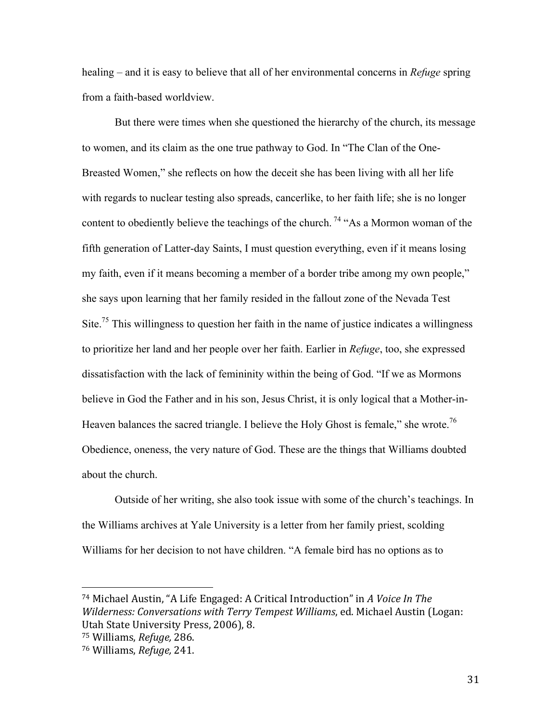healing – and it is easy to believe that all of her environmental concerns in *Refuge* spring from a faith-based worldview.

But there were times when she questioned the hierarchy of the church, its message to women, and its claim as the one true pathway to God. In "The Clan of the One-Breasted Women," she reflects on how the deceit she has been living with all her life with regards to nuclear testing also spreads, cancerlike, to her faith life; she is no longer content to obediently believe the teachings of the church.<sup>74</sup> "As a Mormon woman of the fifth generation of Latter-day Saints, I must question everything, even if it means losing my faith, even if it means becoming a member of a border tribe among my own people," she says upon learning that her family resided in the fallout zone of the Nevada Test Site.<sup>75</sup> This willingness to question her faith in the name of justice indicates a willingness to prioritize her land and her people over her faith. Earlier in *Refuge*, too, she expressed dissatisfaction with the lack of femininity within the being of God. "If we as Mormons believe in God the Father and in his son, Jesus Christ, it is only logical that a Mother-in-Heaven balances the sacred triangle. I believe the Holy Ghost is female," she wrote.<sup>76</sup> Obedience, oneness, the very nature of God. These are the things that Williams doubted about the church.

Outside of her writing, she also took issue with some of the church's teachings. In the Williams archives at Yale University is a letter from her family priest, scolding Williams for her decision to not have children. "A female bird has no options as to

<sup>&</sup>lt;sup>74</sup> Michael Austin, "A Life Engaged: A Critical Introduction" in A Voice In The *Wilderness: Conversations with Terry Tempest Williams, ed. Michael Austin (Logan:* Utah State University Press, 2006), 8.

<sup>75</sup> Williams, *Refuge,* 286.

<sup>76</sup> Williams, *Refuge,* 241.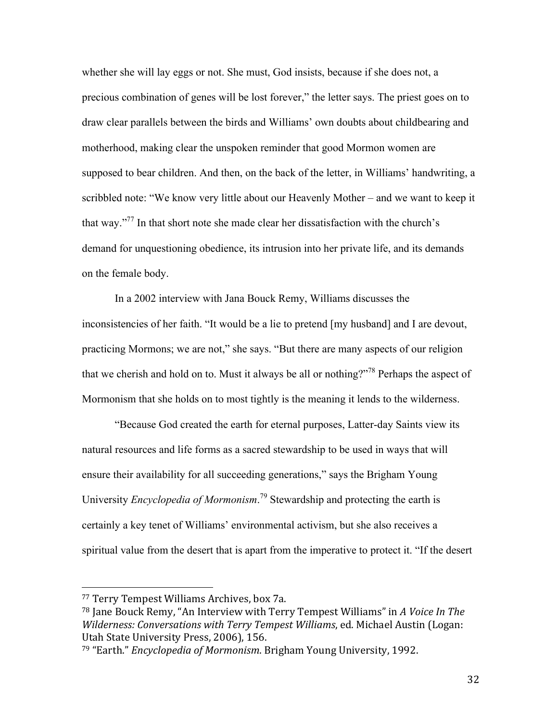whether she will lay eggs or not. She must, God insists, because if she does not, a precious combination of genes will be lost forever," the letter says. The priest goes on to draw clear parallels between the birds and Williams' own doubts about childbearing and motherhood, making clear the unspoken reminder that good Mormon women are supposed to bear children. And then, on the back of the letter, in Williams' handwriting, a scribbled note: "We know very little about our Heavenly Mother – and we want to keep it that way."77 In that short note she made clear her dissatisfaction with the church's demand for unquestioning obedience, its intrusion into her private life, and its demands on the female body.

In a 2002 interview with Jana Bouck Remy, Williams discusses the inconsistencies of her faith. "It would be a lie to pretend [my husband] and I are devout, practicing Mormons; we are not," she says. "But there are many aspects of our religion that we cherish and hold on to. Must it always be all or nothing?"<sup>78</sup> Perhaps the aspect of Mormonism that she holds on to most tightly is the meaning it lends to the wilderness.

"Because God created the earth for eternal purposes, Latter-day Saints view its natural resources and life forms as a sacred stewardship to be used in ways that will ensure their availability for all succeeding generations," says the Brigham Young University *Encyclopedia of Mormonism*. <sup>79</sup> Stewardship and protecting the earth is certainly a key tenet of Williams' environmental activism, but she also receives a spiritual value from the desert that is apart from the imperative to protect it. "If the desert

<sup>77</sup> Terry Tempest Williams Archives, box 7a.

<sup>&</sup>lt;sup>78</sup> Jane Bouck Remy, "An Interview with Terry Tempest Williams" in A Voice In The *Wilderness: Conversations with Terry Tempest Williams, ed. Michael Austin (Logan:* Utah State University Press, 2006), 156.

<sup>&</sup>lt;sup>79</sup> "Earth." *Encyclopedia of Mormonism*. Brigham Young University, 1992.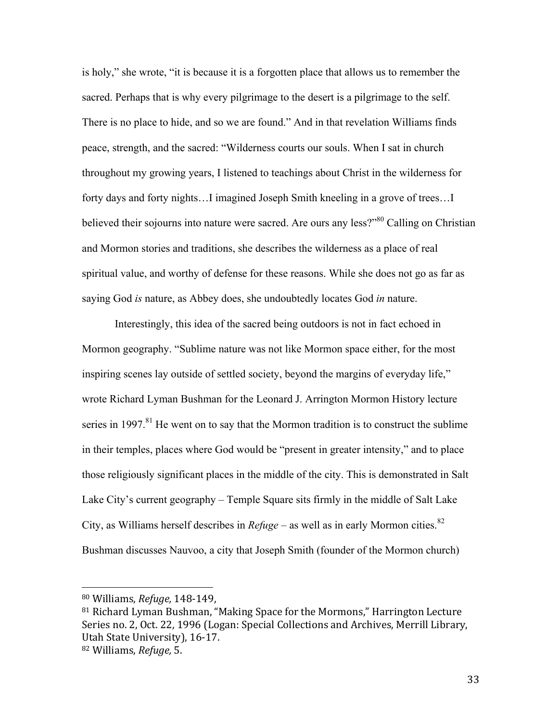is holy," she wrote, "it is because it is a forgotten place that allows us to remember the sacred. Perhaps that is why every pilgrimage to the desert is a pilgrimage to the self. There is no place to hide, and so we are found." And in that revelation Williams finds peace, strength, and the sacred: "Wilderness courts our souls. When I sat in church throughout my growing years, I listened to teachings about Christ in the wilderness for forty days and forty nights…I imagined Joseph Smith kneeling in a grove of trees…I believed their sojourns into nature were sacred. Are ours any less?"<sup>80</sup> Calling on Christian and Mormon stories and traditions, she describes the wilderness as a place of real spiritual value, and worthy of defense for these reasons. While she does not go as far as saying God *is* nature, as Abbey does, she undoubtedly locates God *in* nature.

Interestingly, this idea of the sacred being outdoors is not in fact echoed in Mormon geography. "Sublime nature was not like Mormon space either, for the most inspiring scenes lay outside of settled society, beyond the margins of everyday life," wrote Richard Lyman Bushman for the Leonard J. Arrington Mormon History lecture series in 1997.<sup>81</sup> He went on to say that the Mormon tradition is to construct the sublime in their temples, places where God would be "present in greater intensity," and to place those religiously significant places in the middle of the city. This is demonstrated in Salt Lake City's current geography – Temple Square sits firmly in the middle of Salt Lake City, as Williams herself describes in  $Refuge -$  as well as in early Mormon cities.<sup>82</sup> Bushman discusses Nauvoo, a city that Joseph Smith (founder of the Mormon church)

 <sup>80</sup> Williams, *Refuge,* 148-149,

 $81$  Richard Lyman Bushman, "Making Space for the Mormons," Harrington Lecture Series no. 2, Oct. 22, 1996 (Logan: Special Collections and Archives, Merrill Library, Utah State University), 16-17.

<sup>82</sup> Williams, *Refuge,* 5.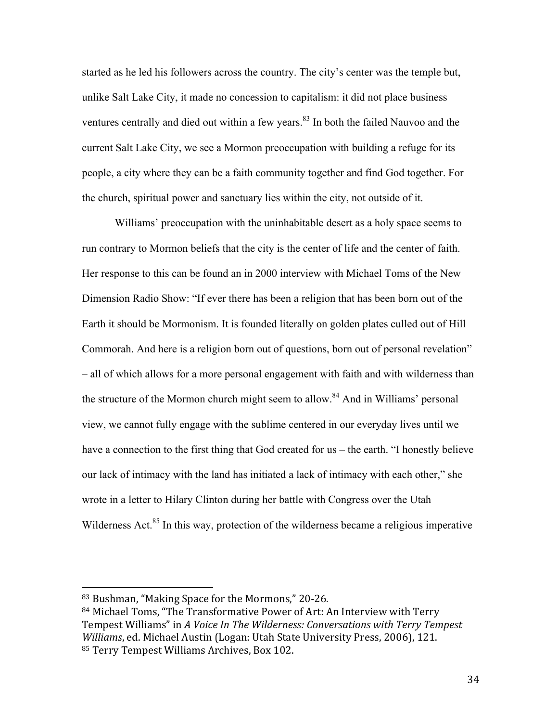started as he led his followers across the country. The city's center was the temple but, unlike Salt Lake City, it made no concession to capitalism: it did not place business ventures centrally and died out within a few years.<sup>83</sup> In both the failed Nauvoo and the current Salt Lake City, we see a Mormon preoccupation with building a refuge for its people, a city where they can be a faith community together and find God together. For the church, spiritual power and sanctuary lies within the city, not outside of it.

Williams' preoccupation with the uninhabitable desert as a holy space seems to run contrary to Mormon beliefs that the city is the center of life and the center of faith. Her response to this can be found an in 2000 interview with Michael Toms of the New Dimension Radio Show: "If ever there has been a religion that has been born out of the Earth it should be Mormonism. It is founded literally on golden plates culled out of Hill Commorah. And here is a religion born out of questions, born out of personal revelation" – all of which allows for a more personal engagement with faith and with wilderness than the structure of the Mormon church might seem to allow.<sup>84</sup> And in Williams' personal view, we cannot fully engage with the sublime centered in our everyday lives until we have a connection to the first thing that God created for us – the earth. "I honestly believe our lack of intimacy with the land has initiated a lack of intimacy with each other," she wrote in a letter to Hilary Clinton during her battle with Congress over the Utah Wilderness Act.<sup>85</sup> In this way, protection of the wilderness became a religious imperative

<sup>83</sup> Bushman, "Making Space for the Mormons," 20-26.

<sup>84</sup> Michael Toms, "The Transformative Power of Art: An Interview with Terry Tempest Williams" in A Voice In The Wilderness: Conversations with Terry Tempest *Williams*, ed. Michael Austin (Logan: Utah State University Press, 2006), 121. 85 Terry Tempest Williams Archives, Box 102.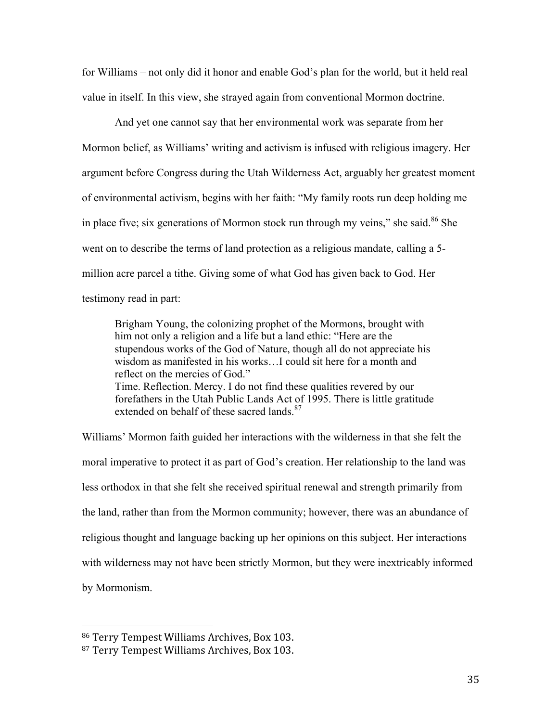for Williams – not only did it honor and enable God's plan for the world, but it held real value in itself. In this view, she strayed again from conventional Mormon doctrine.

And yet one cannot say that her environmental work was separate from her Mormon belief, as Williams' writing and activism is infused with religious imagery. Her argument before Congress during the Utah Wilderness Act, arguably her greatest moment of environmental activism, begins with her faith: "My family roots run deep holding me in place five; six generations of Mormon stock run through my veins," she said.<sup>86</sup> She went on to describe the terms of land protection as a religious mandate, calling a 5 million acre parcel a tithe. Giving some of what God has given back to God. Her testimony read in part:

Brigham Young, the colonizing prophet of the Mormons, brought with him not only a religion and a life but a land ethic: "Here are the stupendous works of the God of Nature, though all do not appreciate his wisdom as manifested in his works…I could sit here for a month and reflect on the mercies of God." Time. Reflection. Mercy. I do not find these qualities revered by our forefathers in the Utah Public Lands Act of 1995. There is little gratitude extended on behalf of these sacred lands.<sup>87</sup>

Williams' Mormon faith guided her interactions with the wilderness in that she felt the moral imperative to protect it as part of God's creation. Her relationship to the land was less orthodox in that she felt she received spiritual renewal and strength primarily from the land, rather than from the Mormon community; however, there was an abundance of religious thought and language backing up her opinions on this subject. Her interactions with wilderness may not have been strictly Mormon, but they were inextricably informed by Mormonism.

<sup>86</sup> Terry Tempest Williams Archives, Box 103.

<sup>87</sup> Terry Tempest Williams Archives, Box 103.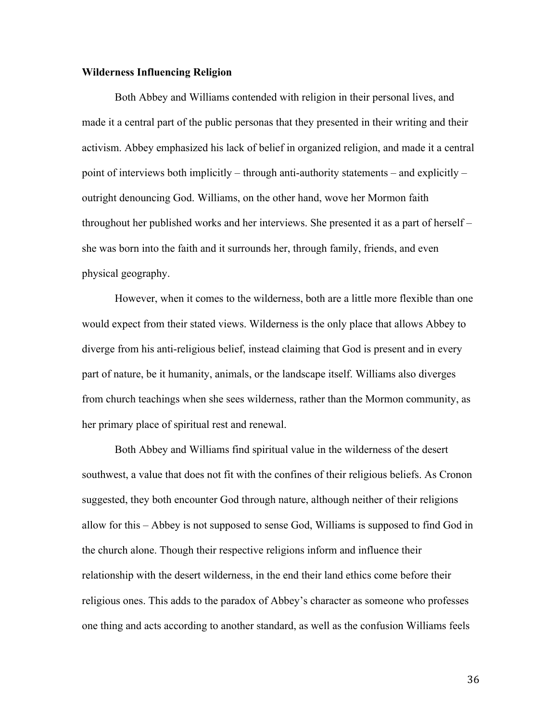# **Wilderness Influencing Religion**

Both Abbey and Williams contended with religion in their personal lives, and made it a central part of the public personas that they presented in their writing and their activism. Abbey emphasized his lack of belief in organized religion, and made it a central point of interviews both implicitly – through anti-authority statements – and explicitly – outright denouncing God. Williams, on the other hand, wove her Mormon faith throughout her published works and her interviews. She presented it as a part of herself – she was born into the faith and it surrounds her, through family, friends, and even physical geography.

However, when it comes to the wilderness, both are a little more flexible than one would expect from their stated views. Wilderness is the only place that allows Abbey to diverge from his anti-religious belief, instead claiming that God is present and in every part of nature, be it humanity, animals, or the landscape itself. Williams also diverges from church teachings when she sees wilderness, rather than the Mormon community, as her primary place of spiritual rest and renewal.

Both Abbey and Williams find spiritual value in the wilderness of the desert southwest, a value that does not fit with the confines of their religious beliefs. As Cronon suggested, they both encounter God through nature, although neither of their religions allow for this – Abbey is not supposed to sense God, Williams is supposed to find God in the church alone. Though their respective religions inform and influence their relationship with the desert wilderness, in the end their land ethics come before their religious ones. This adds to the paradox of Abbey's character as someone who professes one thing and acts according to another standard, as well as the confusion Williams feels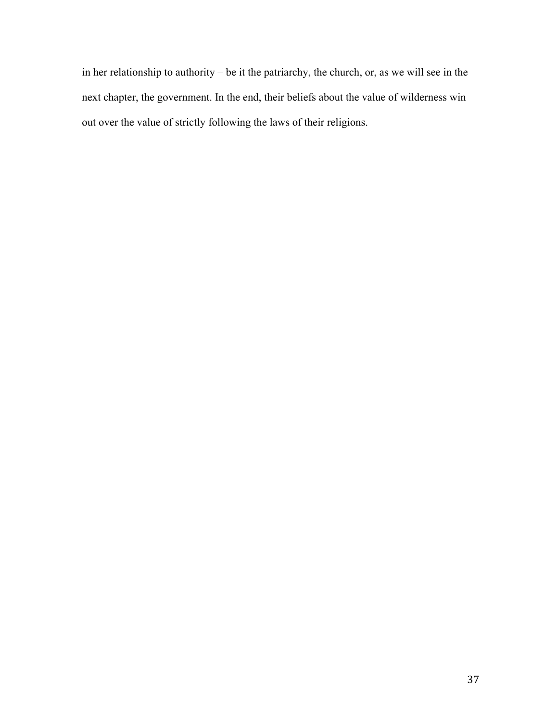in her relationship to authority – be it the patriarchy, the church, or, as we will see in the next chapter, the government. In the end, their beliefs about the value of wilderness win out over the value of strictly following the laws of their religions.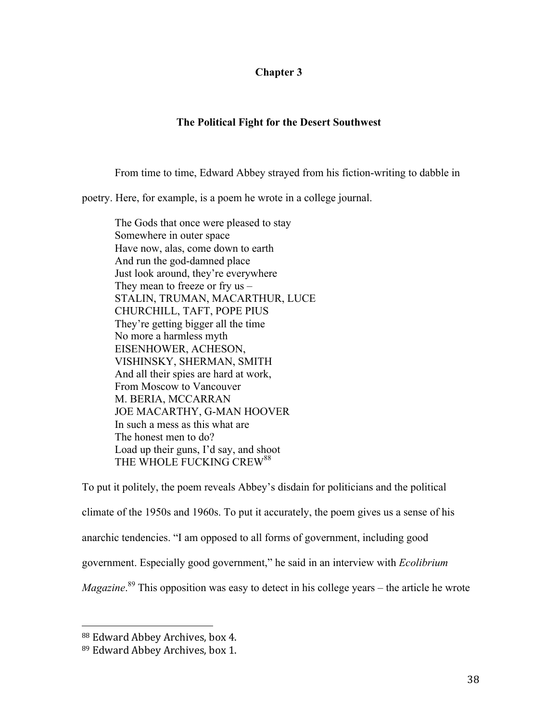# **Chapter 3**

# **The Political Fight for the Desert Southwest**

From time to time, Edward Abbey strayed from his fiction-writing to dabble in

poetry. Here, for example, is a poem he wrote in a college journal.

The Gods that once were pleased to stay Somewhere in outer space Have now, alas, come down to earth And run the god-damned place Just look around, they're everywhere They mean to freeze or fry  $us -$ STALIN, TRUMAN, MACARTHUR, LUCE CHURCHILL, TAFT, POPE PIUS They're getting bigger all the time No more a harmless myth EISENHOWER, ACHESON, VISHINSKY, SHERMAN, SMITH And all their spies are hard at work, From Moscow to Vancouver M. BERIA, MCCARRAN JOE MACARTHY, G-MAN HOOVER In such a mess as this what are The honest men to do? Load up their guns, I'd say, and shoot THE WHOLE FUCKING CREW<sup>88</sup>

To put it politely, the poem reveals Abbey's disdain for politicians and the political climate of the 1950s and 1960s. To put it accurately, the poem gives us a sense of his anarchic tendencies. "I am opposed to all forms of government, including good government. Especially good government," he said in an interview with *Ecolibrium Magazine*. <sup>89</sup> This opposition was easy to detect in his college years – the article he wrote

<sup>88</sup> Edward Abbey Archives, box 4.

<sup>89</sup> Edward Abbey Archives, box 1.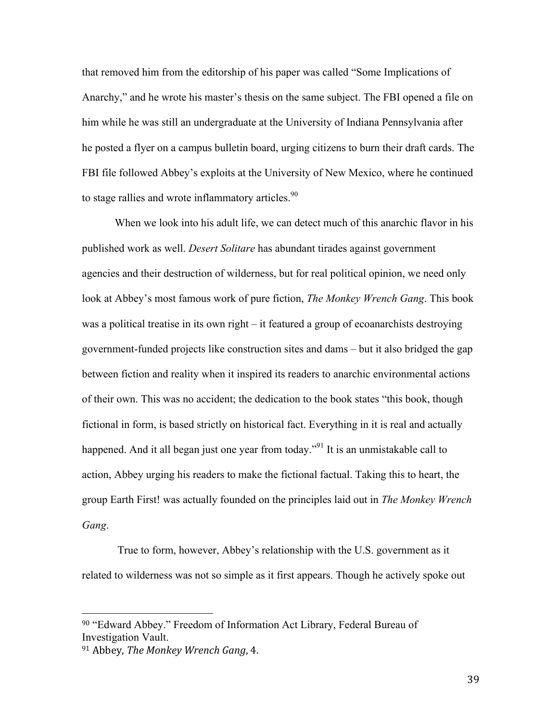that removed him from the editorship of his paper was called "Some Implications of Anarchy," and he wrote his master's thesis on the same subject. The FBI opened a file on him while he was still an undergraduate at the University of Indiana Pennsylvania after he posted a flyer on a campus bulletin board, urging citizens to burn their draft cards. The FBI file followed Abbey's exploits at the University of New Mexico, where he continued to stage rallies and wrote inflammatory articles.<sup>90</sup>

When we look into his adult life, we can detect much of this anarchic flavor in his published work as well. *Desert Solitare* has abundant tirades against government agencies and their destruction of wilderness, but for real political opinion, we need only look at Abbey's most famous work of pure fiction, *The Monkey Wrench Gang*. This book was a political treatise in its own right – it featured a group of ecoanarchists destroying government-funded projects like construction sites and dams – but it also bridged the gap between fiction and reality when it inspired its readers to anarchic environmental actions of their own. This was no accident; the dedication to the book states "this book, though fictional in form, is based strictly on historical fact. Everything in it is real and actually happened. And it all began just one year from today.<sup>"91</sup> It is an unmistakable call to action, Abbey urging his readers to make the fictional factual. Taking this to heart, the group Earth First! was actually founded on the principles laid out in *The Monkey Wrench Gang*.

True to form, however, Abbey's relationship with the U.S. government as it related to wilderness was not so simple as it first appears. Though he actively spoke out

<sup>90</sup> "Edward Abbey." Freedom of Information Act Library, Federal Bureau of Investigation Vault.

<sup>&</sup>lt;sup>91</sup> Abbey, *The Monkey Wrench Gang*, 4.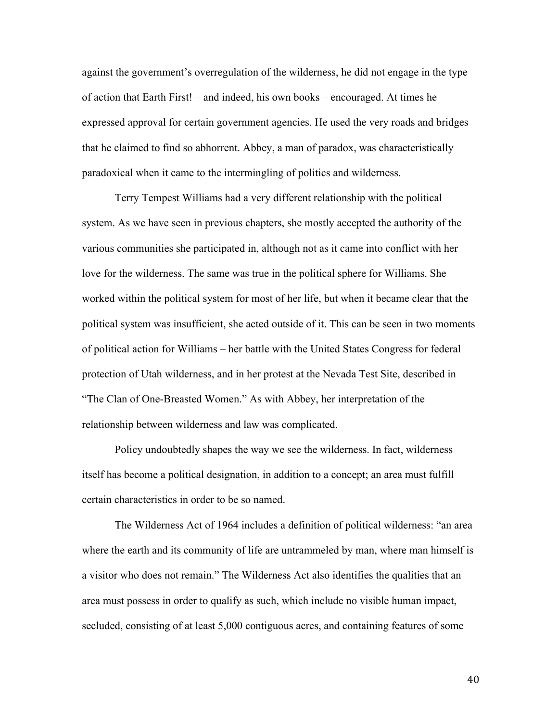against the government's overregulation of the wilderness, he did not engage in the type of action that Earth First! – and indeed, his own books – encouraged. At times he expressed approval for certain government agencies. He used the very roads and bridges that he claimed to find so abhorrent. Abbey, a man of paradox, was characteristically paradoxical when it came to the intermingling of politics and wilderness.

Terry Tempest Williams had a very different relationship with the political system. As we have seen in previous chapters, she mostly accepted the authority of the various communities she participated in, although not as it came into conflict with her love for the wilderness. The same was true in the political sphere for Williams. She worked within the political system for most of her life, but when it became clear that the political system was insufficient, she acted outside of it. This can be seen in two moments of political action for Williams – her battle with the United States Congress for federal protection of Utah wilderness, and in her protest at the Nevada Test Site, described in "The Clan of One-Breasted Women." As with Abbey, her interpretation of the relationship between wilderness and law was complicated.

Policy undoubtedly shapes the way we see the wilderness. In fact, wilderness itself has become a political designation, in addition to a concept; an area must fulfill certain characteristics in order to be so named.

The Wilderness Act of 1964 includes a definition of political wilderness: "an area where the earth and its community of life are untrammeled by man, where man himself is a visitor who does not remain." The Wilderness Act also identifies the qualities that an area must possess in order to qualify as such, which include no visible human impact, secluded, consisting of at least 5,000 contiguous acres, and containing features of some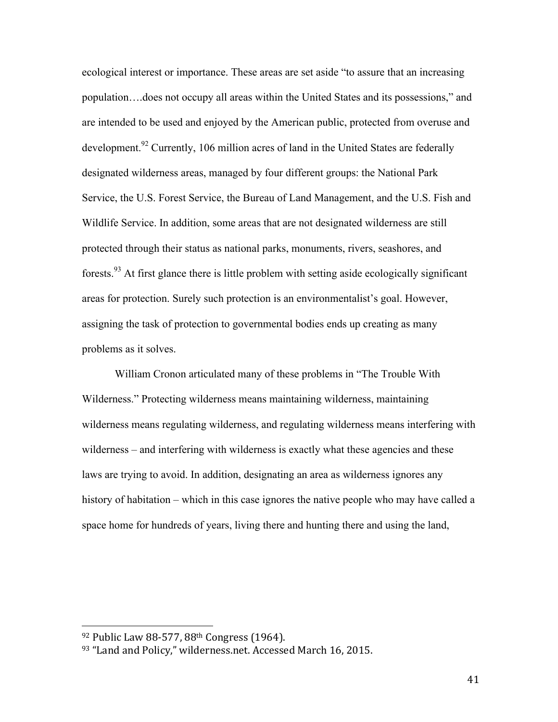ecological interest or importance. These areas are set aside "to assure that an increasing population….does not occupy all areas within the United States and its possessions," and are intended to be used and enjoyed by the American public, protected from overuse and development.<sup>92</sup> Currently, 106 million acres of land in the United States are federally designated wilderness areas, managed by four different groups: the National Park Service, the U.S. Forest Service, the Bureau of Land Management, and the U.S. Fish and Wildlife Service. In addition, some areas that are not designated wilderness are still protected through their status as national parks, monuments, rivers, seashores, and forests.<sup>93</sup> At first glance there is little problem with setting aside ecologically significant areas for protection. Surely such protection is an environmentalist's goal. However, assigning the task of protection to governmental bodies ends up creating as many problems as it solves.

William Cronon articulated many of these problems in "The Trouble With Wilderness." Protecting wilderness means maintaining wilderness, maintaining wilderness means regulating wilderness, and regulating wilderness means interfering with wilderness – and interfering with wilderness is exactly what these agencies and these laws are trying to avoid. In addition, designating an area as wilderness ignores any history of habitation – which in this case ignores the native people who may have called a space home for hundreds of years, living there and hunting there and using the land,

<sup>92</sup> Public Law 88-577, 88<sup>th</sup> Congress (1964).

<sup>93 &</sup>quot;Land and Policy," wilderness.net. Accessed March 16, 2015.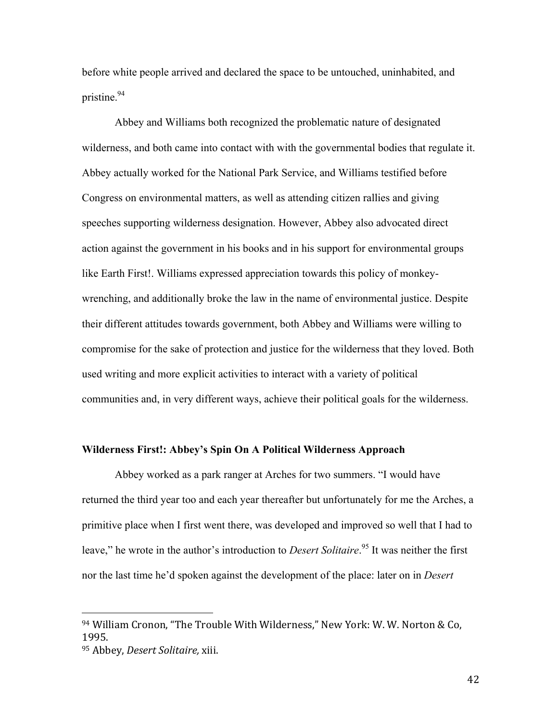before white people arrived and declared the space to be untouched, uninhabited, and pristine.94

Abbey and Williams both recognized the problematic nature of designated wilderness, and both came into contact with with the governmental bodies that regulate it. Abbey actually worked for the National Park Service, and Williams testified before Congress on environmental matters, as well as attending citizen rallies and giving speeches supporting wilderness designation. However, Abbey also advocated direct action against the government in his books and in his support for environmental groups like Earth First!. Williams expressed appreciation towards this policy of monkeywrenching, and additionally broke the law in the name of environmental justice. Despite their different attitudes towards government, both Abbey and Williams were willing to compromise for the sake of protection and justice for the wilderness that they loved. Both used writing and more explicit activities to interact with a variety of political communities and, in very different ways, achieve their political goals for the wilderness.

# **Wilderness First!: Abbey's Spin On A Political Wilderness Approach**

Abbey worked as a park ranger at Arches for two summers. "I would have returned the third year too and each year thereafter but unfortunately for me the Arches, a primitive place when I first went there, was developed and improved so well that I had to leave," he wrote in the author's introduction to *Desert Solitaire*. <sup>95</sup> It was neither the first nor the last time he'd spoken against the development of the place: later on in *Desert* 

<sup>94</sup> William Cronon, "The Trouble With Wilderness," New York: W. W. Norton & Co, 1995.

<sup>95</sup> Abbey, *Desert Solitaire,* xiii.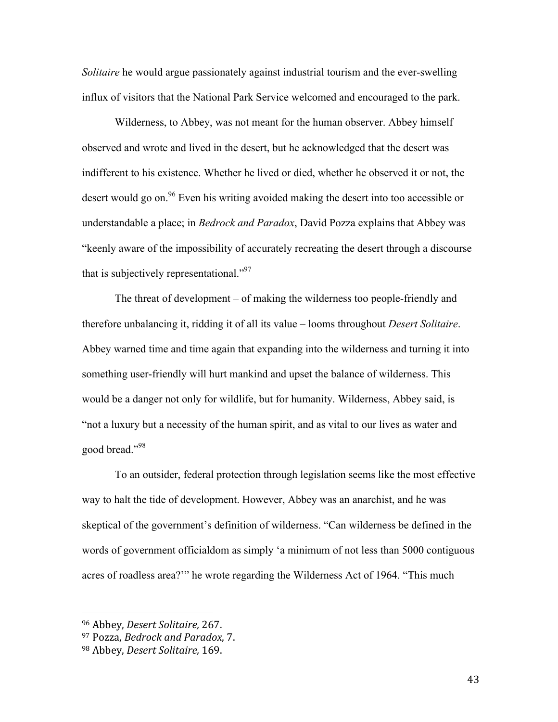*Solitaire* he would argue passionately against industrial tourism and the ever-swelling influx of visitors that the National Park Service welcomed and encouraged to the park.

Wilderness, to Abbey, was not meant for the human observer. Abbey himself observed and wrote and lived in the desert, but he acknowledged that the desert was indifferent to his existence. Whether he lived or died, whether he observed it or not, the desert would go on.<sup>96</sup> Even his writing avoided making the desert into too accessible or understandable a place; in *Bedrock and Paradox*, David Pozza explains that Abbey was "keenly aware of the impossibility of accurately recreating the desert through a discourse that is subjectively representational."<sup>97</sup>

The threat of development – of making the wilderness too people-friendly and therefore unbalancing it, ridding it of all its value – looms throughout *Desert Solitaire*. Abbey warned time and time again that expanding into the wilderness and turning it into something user-friendly will hurt mankind and upset the balance of wilderness. This would be a danger not only for wildlife, but for humanity. Wilderness, Abbey said, is "not a luxury but a necessity of the human spirit, and as vital to our lives as water and good bread."98

To an outsider, federal protection through legislation seems like the most effective way to halt the tide of development. However, Abbey was an anarchist, and he was skeptical of the government's definition of wilderness. "Can wilderness be defined in the words of government officialdom as simply 'a minimum of not less than 5000 contiguous acres of roadless area?'" he wrote regarding the Wilderness Act of 1964. "This much

 <sup>96</sup> Abbey, *Desert Solitaire,* 267.

<sup>97</sup> Pozza, *Bedrock and Paradox*, 7.

<sup>&</sup>lt;sup>98</sup> Abbey, *Desert Solitaire*, 169.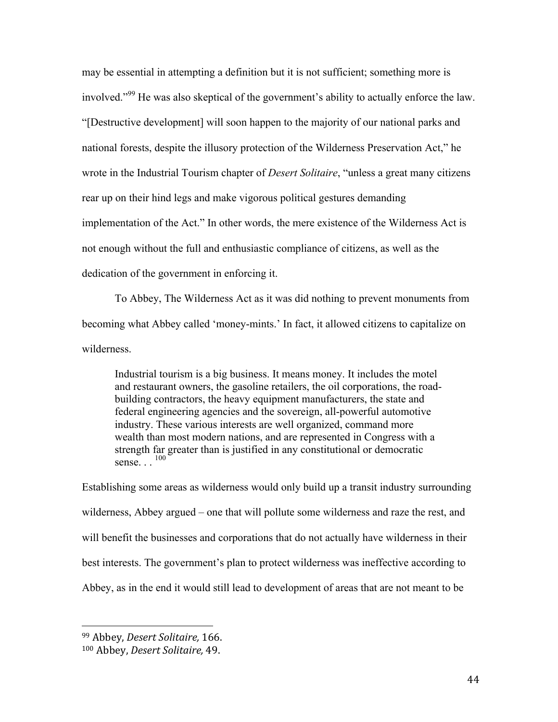may be essential in attempting a definition but it is not sufficient; something more is involved."<sup>99</sup> He was also skeptical of the government's ability to actually enforce the law. "[Destructive development] will soon happen to the majority of our national parks and national forests, despite the illusory protection of the Wilderness Preservation Act," he wrote in the Industrial Tourism chapter of *Desert Solitaire*, "unless a great many citizens rear up on their hind legs and make vigorous political gestures demanding implementation of the Act." In other words, the mere existence of the Wilderness Act is not enough without the full and enthusiastic compliance of citizens, as well as the dedication of the government in enforcing it.

To Abbey, The Wilderness Act as it was did nothing to prevent monuments from becoming what Abbey called 'money-mints.' In fact, it allowed citizens to capitalize on wilderness.

Industrial tourism is a big business. It means money. It includes the motel and restaurant owners, the gasoline retailers, the oil corporations, the roadbuilding contractors, the heavy equipment manufacturers, the state and federal engineering agencies and the sovereign, all-powerful automotive industry. These various interests are well organized, command more wealth than most modern nations, and are represented in Congress with a strength far greater than is justified in any constitutional or democratic sense. . . <sup>100</sup>

Establishing some areas as wilderness would only build up a transit industry surrounding wilderness, Abbey argued – one that will pollute some wilderness and raze the rest, and will benefit the businesses and corporations that do not actually have wilderness in their best interests. The government's plan to protect wilderness was ineffective according to Abbey, as in the end it would still lead to development of areas that are not meant to be

 <sup>99</sup> Abbey, *Desert Solitaire,* 166.

<sup>100</sup> Abbey, *Desert Solitaire*, 49.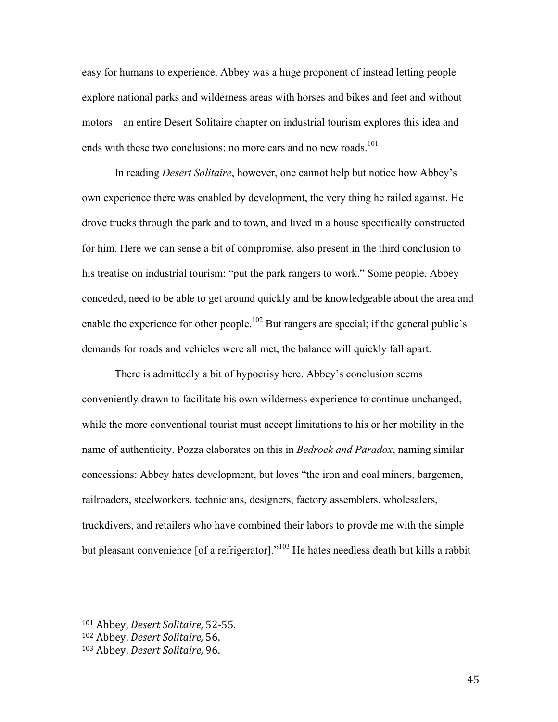easy for humans to experience. Abbey was a huge proponent of instead letting people explore national parks and wilderness areas with horses and bikes and feet and without motors – an entire Desert Solitaire chapter on industrial tourism explores this idea and ends with these two conclusions: no more cars and no new roads.<sup>101</sup>

In reading *Desert Solitaire*, however, one cannot help but notice how Abbey's own experience there was enabled by development, the very thing he railed against. He drove trucks through the park and to town, and lived in a house specifically constructed for him. Here we can sense a bit of compromise, also present in the third conclusion to his treatise on industrial tourism: "put the park rangers to work." Some people, Abbey conceded, need to be able to get around quickly and be knowledgeable about the area and enable the experience for other people.<sup>102</sup> But rangers are special; if the general public's demands for roads and vehicles were all met, the balance will quickly fall apart.

There is admittedly a bit of hypocrisy here. Abbey's conclusion seems conveniently drawn to facilitate his own wilderness experience to continue unchanged, while the more conventional tourist must accept limitations to his or her mobility in the name of authenticity. Pozza elaborates on this in *Bedrock and Paradox*, naming similar concessions: Abbey hates development, but loves "the iron and coal miners, bargemen, railroaders, steelworkers, technicians, designers, factory assemblers, wholesalers, truckdivers, and retailers who have combined their labors to provde me with the simple but pleasant convenience [of a refrigerator]."<sup>103</sup> He hates needless death but kills a rabbit

<sup>101</sup> Abbey, *Desert Solitaire*, 52-55.

<sup>102</sup> Abbey, *Desert Solitaire*, 56.

<sup>103</sup> Abbey, *Desert Solitaire*, 96.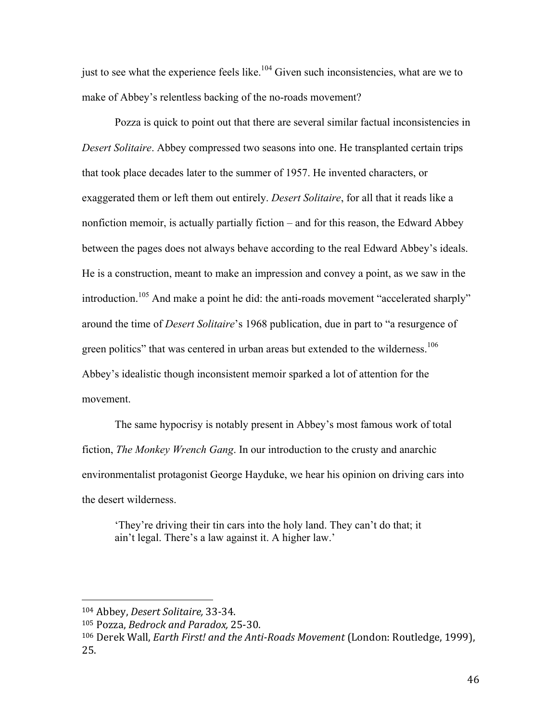just to see what the experience feels like.<sup>104</sup> Given such inconsistencies, what are we to make of Abbey's relentless backing of the no-roads movement?

Pozza is quick to point out that there are several similar factual inconsistencies in *Desert Solitaire*. Abbey compressed two seasons into one. He transplanted certain trips that took place decades later to the summer of 1957. He invented characters, or exaggerated them or left them out entirely. *Desert Solitaire*, for all that it reads like a nonfiction memoir, is actually partially fiction – and for this reason, the Edward Abbey between the pages does not always behave according to the real Edward Abbey's ideals. He is a construction, meant to make an impression and convey a point, as we saw in the introduction.<sup>105</sup> And make a point he did: the anti-roads movement "accelerated sharply" around the time of *Desert Solitaire*'s 1968 publication, due in part to "a resurgence of green politics" that was centered in urban areas but extended to the wilderness.<sup>106</sup> Abbey's idealistic though inconsistent memoir sparked a lot of attention for the movement.

The same hypocrisy is notably present in Abbey's most famous work of total fiction, *The Monkey Wrench Gang*. In our introduction to the crusty and anarchic environmentalist protagonist George Hayduke, we hear his opinion on driving cars into the desert wilderness.

'They're driving their tin cars into the holy land. They can't do that; it ain't legal. There's a law against it. A higher law.'

<sup>104</sup> Abbey, *Desert Solitaire*, 33-34.

<sup>105</sup> Pozza, *Bedrock and Paradox*, 25-30.

<sup>&</sup>lt;sup>106</sup> Derek Wall, *Earth First! and the Anti-Roads Movement* (London: Routledge, 1999), 25.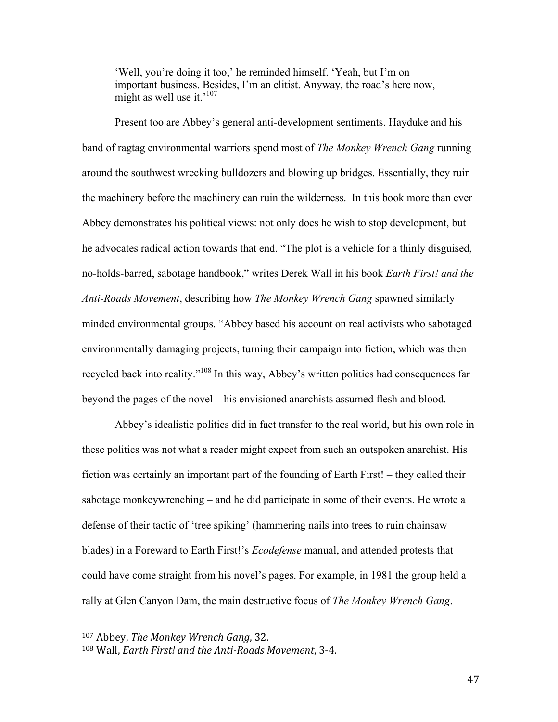'Well, you're doing it too,' he reminded himself. 'Yeah, but I'm on important business. Besides, I'm an elitist. Anyway, the road's here now, might as well use it.<sup>'107</sup>

Present too are Abbey's general anti-development sentiments. Hayduke and his band of ragtag environmental warriors spend most of *The Monkey Wrench Gang* running around the southwest wrecking bulldozers and blowing up bridges. Essentially, they ruin the machinery before the machinery can ruin the wilderness. In this book more than ever Abbey demonstrates his political views: not only does he wish to stop development, but he advocates radical action towards that end. "The plot is a vehicle for a thinly disguised, no-holds-barred, sabotage handbook," writes Derek Wall in his book *Earth First! and the Anti-Roads Movement*, describing how *The Monkey Wrench Gang* spawned similarly minded environmental groups. "Abbey based his account on real activists who sabotaged environmentally damaging projects, turning their campaign into fiction, which was then recycled back into reality."108 In this way, Abbey's written politics had consequences far beyond the pages of the novel – his envisioned anarchists assumed flesh and blood.

Abbey's idealistic politics did in fact transfer to the real world, but his own role in these politics was not what a reader might expect from such an outspoken anarchist. His fiction was certainly an important part of the founding of Earth First! – they called their sabotage monkeywrenching – and he did participate in some of their events. He wrote a defense of their tactic of 'tree spiking' (hammering nails into trees to ruin chainsaw blades) in a Foreward to Earth First!'s *Ecodefense* manual, and attended protests that could have come straight from his novel's pages. For example, in 1981 the group held a rally at Glen Canyon Dam, the main destructive focus of *The Monkey Wrench Gang*.

<sup>107</sup> Abbey, *The Monkey Wrench Gang*, 32.

<sup>108</sup> Wall, *Earth First!* and the Anti-Roads Movement, 3-4.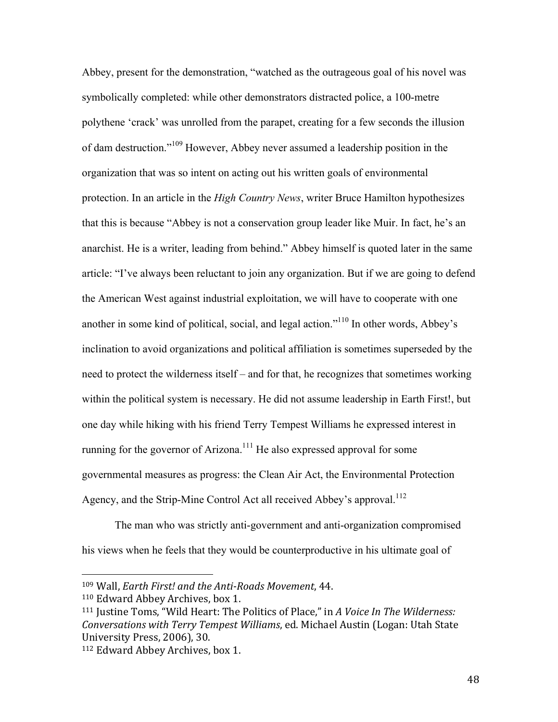Abbey, present for the demonstration, "watched as the outrageous goal of his novel was symbolically completed: while other demonstrators distracted police, a 100-metre polythene 'crack' was unrolled from the parapet, creating for a few seconds the illusion of dam destruction."<sup>109</sup> However, Abbey never assumed a leadership position in the organization that was so intent on acting out his written goals of environmental protection. In an article in the *High Country News*, writer Bruce Hamilton hypothesizes that this is because "Abbey is not a conservation group leader like Muir. In fact, he's an anarchist. He is a writer, leading from behind." Abbey himself is quoted later in the same article: "I've always been reluctant to join any organization. But if we are going to defend the American West against industrial exploitation, we will have to cooperate with one another in some kind of political, social, and legal action."110 In other words, Abbey's inclination to avoid organizations and political affiliation is sometimes superseded by the need to protect the wilderness itself – and for that, he recognizes that sometimes working within the political system is necessary. He did not assume leadership in Earth First!, but one day while hiking with his friend Terry Tempest Williams he expressed interest in running for the governor of Arizona.<sup>111</sup> He also expressed approval for some governmental measures as progress: the Clean Air Act, the Environmental Protection Agency, and the Strip-Mine Control Act all received Abbey's approval.<sup>112</sup>

The man who was strictly anti-government and anti-organization compromised his views when he feels that they would be counterproductive in his ultimate goal of

<sup>109</sup> Wall, *Earth First!* and the Anti-Roads Movement, 44.

<sup>&</sup>lt;sup>110</sup> Edward Abbey Archives, box 1.

<sup>&</sup>lt;sup>111</sup> Justine Toms, "Wild Heart: The Politics of Place," in *A Voice In The Wilderness: Conversations with Terry Tempest Williams, ed. Michael Austin (Logan: Utah State* University Press, 2006), 30.

<sup>&</sup>lt;sup>112</sup> Edward Abbey Archives, box 1.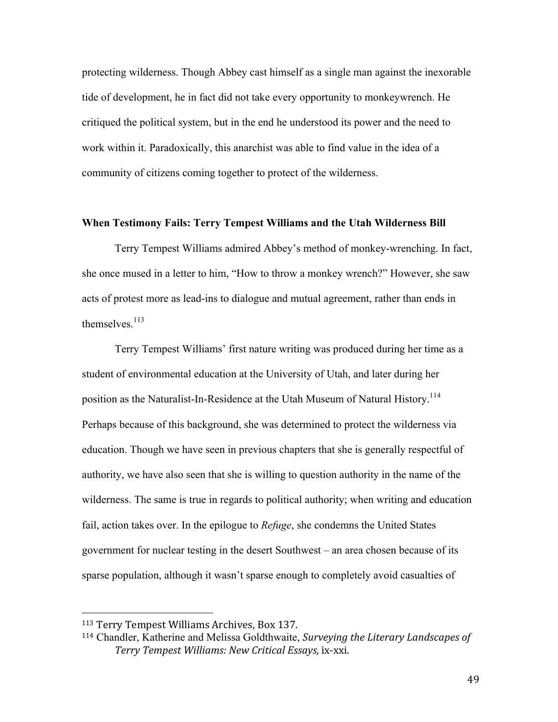protecting wilderness. Though Abbey cast himself as a single man against the inexorable tide of development, he in fact did not take every opportunity to monkeywrench. He critiqued the political system, but in the end he understood its power and the need to work within it. Paradoxically, this anarchist was able to find value in the idea of a community of citizens coming together to protect of the wilderness.

# **When Testimony Fails: Terry Tempest Williams and the Utah Wilderness Bill**

Terry Tempest Williams admired Abbey's method of monkey-wrenching. In fact, she once mused in a letter to him, "How to throw a monkey wrench?" However, she saw acts of protest more as lead-ins to dialogue and mutual agreement, rather than ends in themselves. $113$ 

Terry Tempest Williams' first nature writing was produced during her time as a student of environmental education at the University of Utah, and later during her position as the Naturalist-In-Residence at the Utah Museum of Natural History.<sup>114</sup> Perhaps because of this background, she was determined to protect the wilderness via education. Though we have seen in previous chapters that she is generally respectful of authority, we have also seen that she is willing to question authority in the name of the wilderness. The same is true in regards to political authority; when writing and education fail, action takes over. In the epilogue to *Refuge*, she condemns the United States government for nuclear testing in the desert Southwest – an area chosen because of its sparse population, although it wasn't sparse enough to completely avoid casualties of

<sup>&</sup>lt;sup>113</sup> Terry Tempest Williams Archives, Box 137.

<sup>&</sup>lt;sup>114</sup> Chandler, Katherine and Melissa Goldthwaite, *Surveying the Literary Landscapes of Terry Tempest Williams: New Critical Essays,* ix-xxi.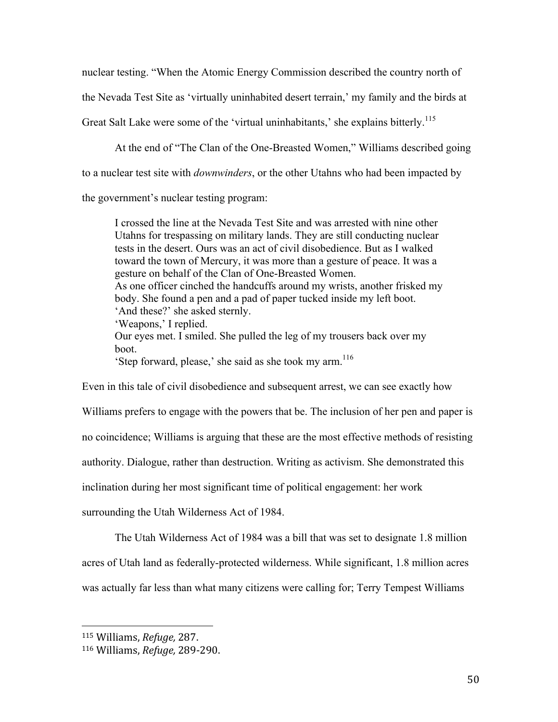nuclear testing. "When the Atomic Energy Commission described the country north of

the Nevada Test Site as 'virtually uninhabited desert terrain,' my family and the birds at

Great Salt Lake were some of the 'virtual uninhabitants,' she explains bitterly.<sup>115</sup>

At the end of "The Clan of the One-Breasted Women," Williams described going

to a nuclear test site with *downwinders*, or the other Utahns who had been impacted by

the government's nuclear testing program:

I crossed the line at the Nevada Test Site and was arrested with nine other Utahns for trespassing on military lands. They are still conducting nuclear tests in the desert. Ours was an act of civil disobedience. But as I walked toward the town of Mercury, it was more than a gesture of peace. It was a gesture on behalf of the Clan of One-Breasted Women. As one officer cinched the handcuffs around my wrists, another frisked my body. She found a pen and a pad of paper tucked inside my left boot. 'And these?' she asked sternly. 'Weapons,' I replied. Our eyes met. I smiled. She pulled the leg of my trousers back over my boot. 'Step forward, please,' she said as she took my arm.116

Even in this tale of civil disobedience and subsequent arrest, we can see exactly how Williams prefers to engage with the powers that be. The inclusion of her pen and paper is

no coincidence; Williams is arguing that these are the most effective methods of resisting

authority. Dialogue, rather than destruction. Writing as activism. She demonstrated this

inclination during her most significant time of political engagement: her work

surrounding the Utah Wilderness Act of 1984.

The Utah Wilderness Act of 1984 was a bill that was set to designate 1.8 million

acres of Utah land as federally-protected wilderness. While significant, 1.8 million acres

was actually far less than what many citizens were calling for; Terry Tempest Williams

 <sup>115</sup> Williams, *Refuge,* 287.

<sup>116</sup> Williams, *Refuge,* 289-290.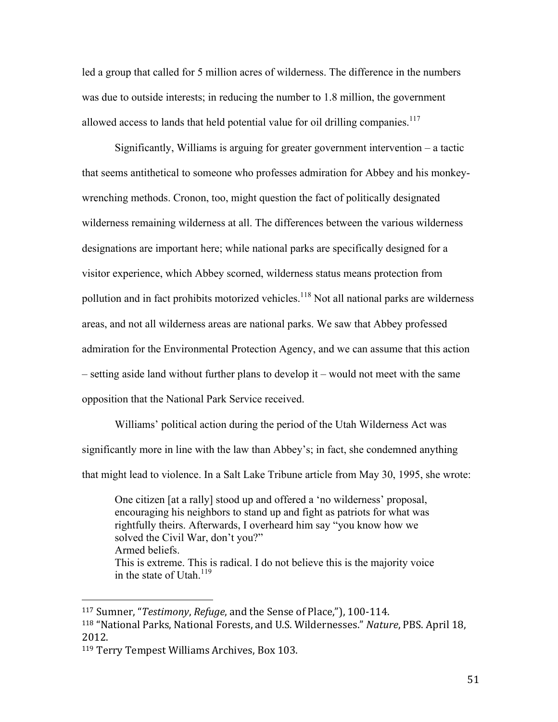led a group that called for 5 million acres of wilderness. The difference in the numbers was due to outside interests; in reducing the number to 1.8 million, the government allowed access to lands that held potential value for oil drilling companies.<sup>117</sup>

Significantly, Williams is arguing for greater government intervention – a tactic that seems antithetical to someone who professes admiration for Abbey and his monkeywrenching methods. Cronon, too, might question the fact of politically designated wilderness remaining wilderness at all. The differences between the various wilderness designations are important here; while national parks are specifically designed for a visitor experience, which Abbey scorned, wilderness status means protection from pollution and in fact prohibits motorized vehicles.<sup>118</sup> Not all national parks are wilderness areas, and not all wilderness areas are national parks. We saw that Abbey professed admiration for the Environmental Protection Agency, and we can assume that this action – setting aside land without further plans to develop it – would not meet with the same opposition that the National Park Service received.

Williams' political action during the period of the Utah Wilderness Act was significantly more in line with the law than Abbey's; in fact, she condemned anything that might lead to violence. In a Salt Lake Tribune article from May 30, 1995, she wrote:

One citizen [at a rally] stood up and offered a 'no wilderness' proposal, encouraging his neighbors to stand up and fight as patriots for what was rightfully theirs. Afterwards, I overheard him say "you know how we solved the Civil War, don't you?" Armed beliefs. This is extreme. This is radical. I do not believe this is the majority voice in the state of Utah.<sup>119</sup>

<sup>117</sup> Sumner, "*Testimony*, *Refuge*, and the Sense of Place,"), 100-114. <sup>118</sup> "National Parks, National Forests, and U.S. Wildernesses." *Nature*, PBS. April 18, 2012.

<sup>&</sup>lt;sup>119</sup> Terry Tempest Williams Archives, Box 103.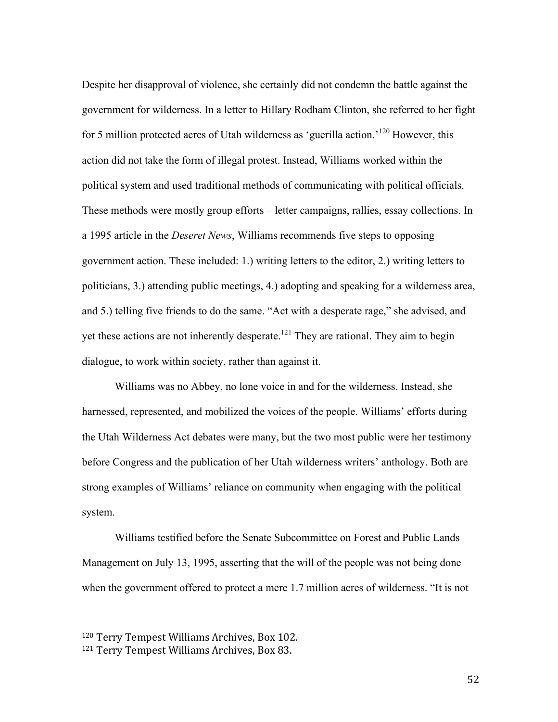Despite her disapproval of violence, she certainly did not condemn the battle against the government for wilderness. In a letter to Hillary Rodham Clinton, she referred to her fight for 5 million protected acres of Utah wilderness as 'guerilla action.'<sup>120</sup> However, this action did not take the form of illegal protest. Instead, Williams worked within the political system and used traditional methods of communicating with political officials. These methods were mostly group efforts – letter campaigns, rallies, essay collections. In a 1995 article in the *Deseret News*, Williams recommends five steps to opposing government action. These included: 1.) writing letters to the editor, 2.) writing letters to politicians, 3.) attending public meetings, 4.) adopting and speaking for a wilderness area, and 5.) telling five friends to do the same. "Act with a desperate rage," she advised, and yet these actions are not inherently desperate.<sup>121</sup> They are rational. They aim to begin dialogue, to work within society, rather than against it.

Williams was no Abbey, no lone voice in and for the wilderness. Instead, she harnessed, represented, and mobilized the voices of the people. Williams' efforts during the Utah Wilderness Act debates were many, but the two most public were her testimony before Congress and the publication of her Utah wilderness writers' anthology. Both are strong examples of Williams' reliance on community when engaging with the political system.

Williams testified before the Senate Subcommittee on Forest and Public Lands Management on July 13, 1995, asserting that the will of the people was not being done when the government offered to protect a mere 1.7 million acres of wilderness. "It is not

<sup>&</sup>lt;sup>120</sup> Terry Tempest Williams Archives, Box 102.

<sup>&</sup>lt;sup>121</sup> Terry Tempest Williams Archives, Box 83.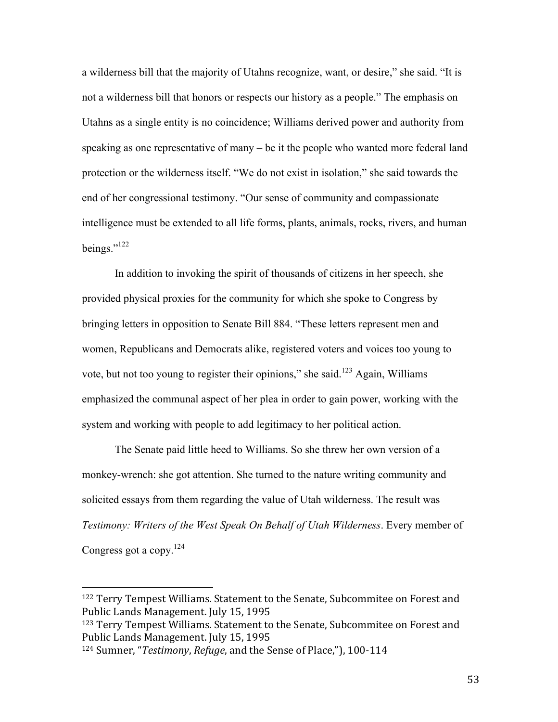a wilderness bill that the majority of Utahns recognize, want, or desire," she said. "It is not a wilderness bill that honors or respects our history as a people." The emphasis on Utahns as a single entity is no coincidence; Williams derived power and authority from speaking as one representative of many – be it the people who wanted more federal land protection or the wilderness itself. "We do not exist in isolation," she said towards the end of her congressional testimony. "Our sense of community and compassionate intelligence must be extended to all life forms, plants, animals, rocks, rivers, and human beings." $^{122}$ 

In addition to invoking the spirit of thousands of citizens in her speech, she provided physical proxies for the community for which she spoke to Congress by bringing letters in opposition to Senate Bill 884. "These letters represent men and women, Republicans and Democrats alike, registered voters and voices too young to vote, but not too young to register their opinions," she said.<sup>123</sup> Again, Williams emphasized the communal aspect of her plea in order to gain power, working with the system and working with people to add legitimacy to her political action.

The Senate paid little heed to Williams. So she threw her own version of a monkey-wrench: she got attention. She turned to the nature writing community and solicited essays from them regarding the value of Utah wilderness. The result was *Testimony: Writers of the West Speak On Behalf of Utah Wilderness*. Every member of Congress got a copy.<sup>124</sup>

<sup>&</sup>lt;sup>122</sup> Terry Tempest Williams. Statement to the Senate, Subcommitee on Forest and Public Lands Management. July 15, 1995

<sup>123</sup> Terry Tempest Williams. Statement to the Senate, Subcommitee on Forest and Public Lands Management. July 15, 1995

<sup>&</sup>lt;sup>124</sup> Sumner, "*Testimony*, *Refuge*, and the Sense of Place,"), 100-114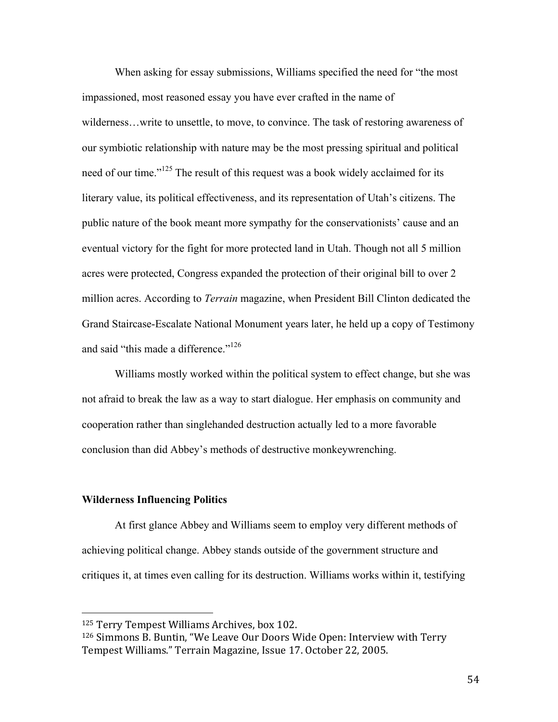When asking for essay submissions, Williams specified the need for "the most impassioned, most reasoned essay you have ever crafted in the name of wilderness…write to unsettle, to move, to convince. The task of restoring awareness of our symbiotic relationship with nature may be the most pressing spiritual and political need of our time."<sup>125</sup> The result of this request was a book widely acclaimed for its literary value, its political effectiveness, and its representation of Utah's citizens. The public nature of the book meant more sympathy for the conservationists' cause and an eventual victory for the fight for more protected land in Utah. Though not all 5 million acres were protected, Congress expanded the protection of their original bill to over 2 million acres. According to *Terrain* magazine, when President Bill Clinton dedicated the Grand Staircase-Escalate National Monument years later, he held up a copy of Testimony and said "this made a difference."<sup>126</sup>

Williams mostly worked within the political system to effect change, but she was not afraid to break the law as a way to start dialogue. Her emphasis on community and cooperation rather than singlehanded destruction actually led to a more favorable conclusion than did Abbey's methods of destructive monkeywrenching.

## **Wilderness Influencing Politics**

 

At first glance Abbey and Williams seem to employ very different methods of achieving political change. Abbey stands outside of the government structure and critiques it, at times even calling for its destruction. Williams works within it, testifying

<sup>&</sup>lt;sup>125</sup> Terry Tempest Williams Archives, box 102.

<sup>&</sup>lt;sup>126</sup> Simmons B. Buntin, "We Leave Our Doors Wide Open: Interview with Terry Tempest Williams." Terrain Magazine, Issue 17. October 22, 2005.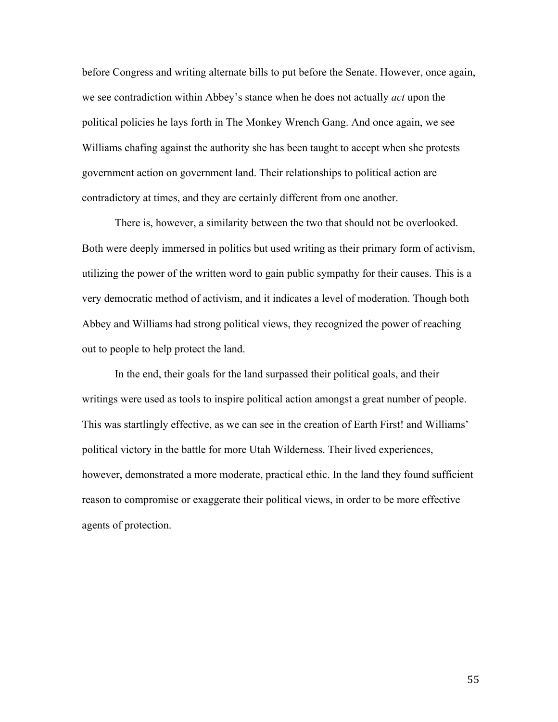before Congress and writing alternate bills to put before the Senate. However, once again, we see contradiction within Abbey's stance when he does not actually *act* upon the political policies he lays forth in The Monkey Wrench Gang. And once again, we see Williams chafing against the authority she has been taught to accept when she protests government action on government land. Their relationships to political action are contradictory at times, and they are certainly different from one another.

There is, however, a similarity between the two that should not be overlooked. Both were deeply immersed in politics but used writing as their primary form of activism, utilizing the power of the written word to gain public sympathy for their causes. This is a very democratic method of activism, and it indicates a level of moderation. Though both Abbey and Williams had strong political views, they recognized the power of reaching out to people to help protect the land.

In the end, their goals for the land surpassed their political goals, and their writings were used as tools to inspire political action amongst a great number of people. This was startlingly effective, as we can see in the creation of Earth First! and Williams' political victory in the battle for more Utah Wilderness. Their lived experiences, however, demonstrated a more moderate, practical ethic. In the land they found sufficient reason to compromise or exaggerate their political views, in order to be more effective agents of protection.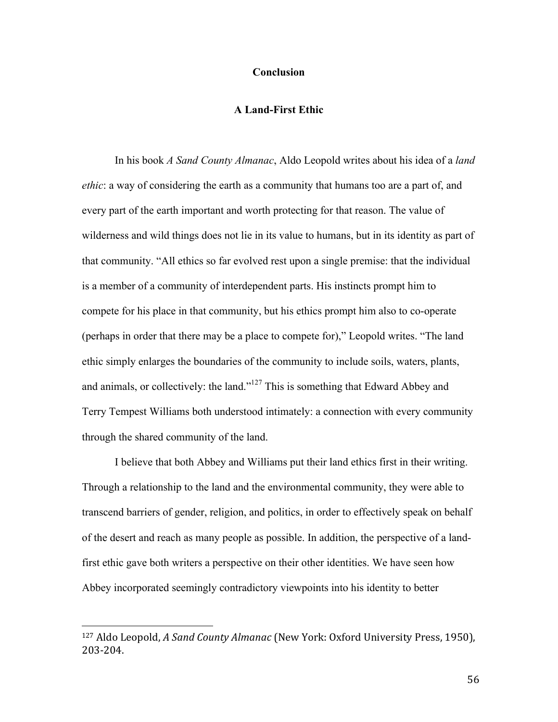## **Conclusion**

# **A Land-First Ethic**

In his book *A Sand County Almanac*, Aldo Leopold writes about his idea of a *land ethic*: a way of considering the earth as a community that humans too are a part of, and every part of the earth important and worth protecting for that reason. The value of wilderness and wild things does not lie in its value to humans, but in its identity as part of that community. "All ethics so far evolved rest upon a single premise: that the individual is a member of a community of interdependent parts. His instincts prompt him to compete for his place in that community, but his ethics prompt him also to co-operate (perhaps in order that there may be a place to compete for)," Leopold writes. "The land ethic simply enlarges the boundaries of the community to include soils, waters, plants, and animals, or collectively: the land."127 This is something that Edward Abbey and Terry Tempest Williams both understood intimately: a connection with every community through the shared community of the land.

I believe that both Abbey and Williams put their land ethics first in their writing. Through a relationship to the land and the environmental community, they were able to transcend barriers of gender, religion, and politics, in order to effectively speak on behalf of the desert and reach as many people as possible. In addition, the perspective of a landfirst ethic gave both writers a perspective on their other identities. We have seen how Abbey incorporated seemingly contradictory viewpoints into his identity to better

<sup>&</sup>lt;sup>127</sup> Aldo Leopold, *A Sand County Almanac* (New York: Oxford University Press, 1950), 203-204.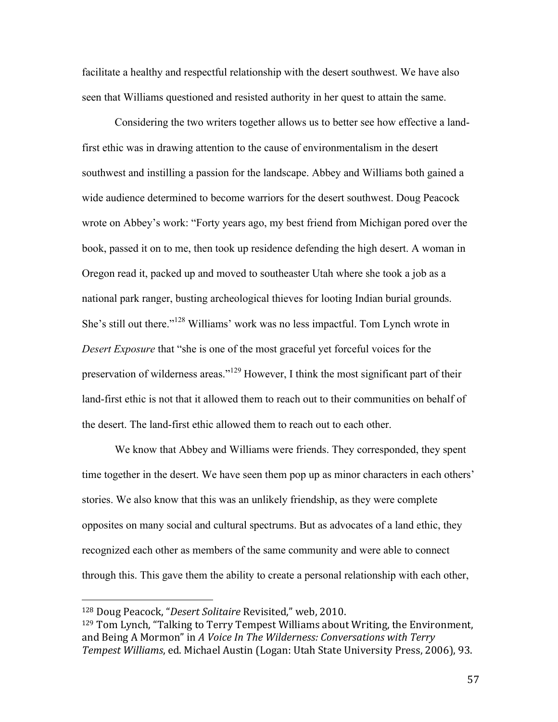facilitate a healthy and respectful relationship with the desert southwest. We have also seen that Williams questioned and resisted authority in her quest to attain the same.

Considering the two writers together allows us to better see how effective a landfirst ethic was in drawing attention to the cause of environmentalism in the desert southwest and instilling a passion for the landscape. Abbey and Williams both gained a wide audience determined to become warriors for the desert southwest. Doug Peacock wrote on Abbey's work: "Forty years ago, my best friend from Michigan pored over the book, passed it on to me, then took up residence defending the high desert. A woman in Oregon read it, packed up and moved to southeaster Utah where she took a job as a national park ranger, busting archeological thieves for looting Indian burial grounds. She's still out there."128 Williams' work was no less impactful. Tom Lynch wrote in *Desert Exposure* that "she is one of the most graceful yet forceful voices for the preservation of wilderness areas."<sup>129</sup> However, I think the most significant part of their land-first ethic is not that it allowed them to reach out to their communities on behalf of the desert. The land-first ethic allowed them to reach out to each other.

We know that Abbey and Williams were friends. They corresponded, they spent time together in the desert. We have seen them pop up as minor characters in each others' stories. We also know that this was an unlikely friendship, as they were complete opposites on many social and cultural spectrums. But as advocates of a land ethic, they recognized each other as members of the same community and were able to connect through this. This gave them the ability to create a personal relationship with each other,

<sup>&</sup>lt;sup>128</sup> Doug Peacock, "Desert Solitaire Revisited," web, 2010.

 $129$  Tom Lynch, "Talking to Terry Tempest Williams about Writing, the Environment, and Being A Mormon" in A Voice In The Wilderness: Conversations with Terry *Tempest Williams*, ed. Michael Austin (Logan: Utah State University Press, 2006), 93.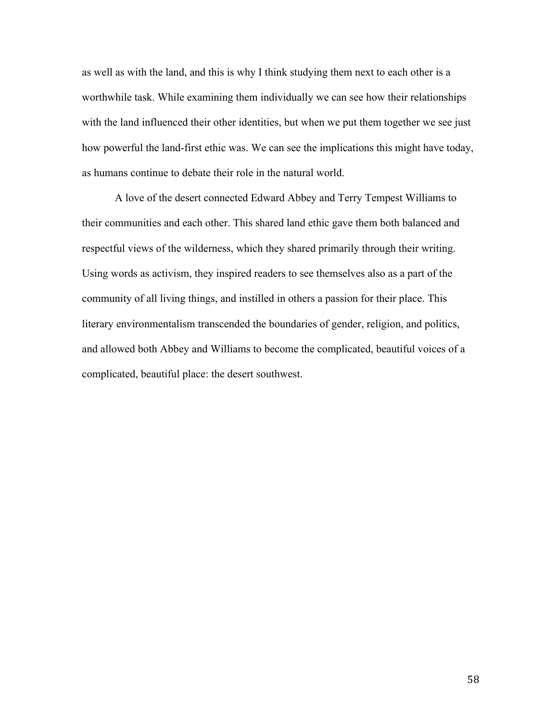as well as with the land, and this is why I think studying them next to each other is a worthwhile task. While examining them individually we can see how their relationships with the land influenced their other identities, but when we put them together we see just how powerful the land-first ethic was. We can see the implications this might have today, as humans continue to debate their role in the natural world.

A love of the desert connected Edward Abbey and Terry Tempest Williams to their communities and each other. This shared land ethic gave them both balanced and respectful views of the wilderness, which they shared primarily through their writing. Using words as activism, they inspired readers to see themselves also as a part of the community of all living things, and instilled in others a passion for their place. This literary environmentalism transcended the boundaries of gender, religion, and politics, and allowed both Abbey and Williams to become the complicated, beautiful voices of a complicated, beautiful place: the desert southwest.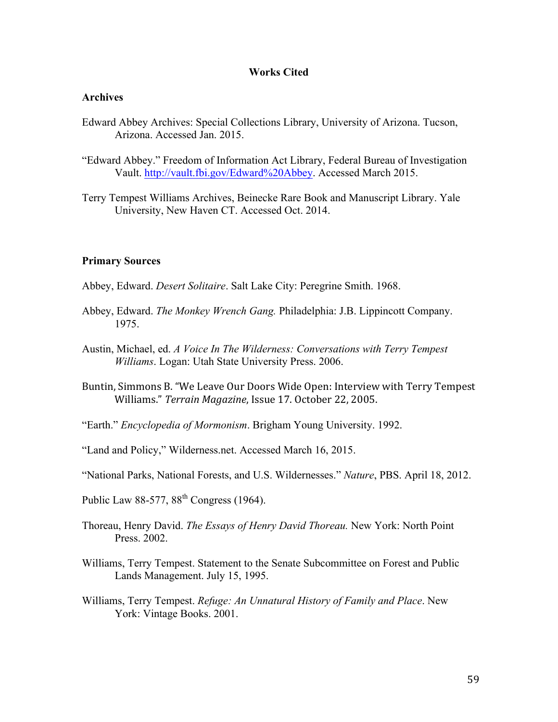## **Works Cited**

## **Archives**

- Edward Abbey Archives: Special Collections Library, University of Arizona. Tucson, Arizona. Accessed Jan. 2015.
- "Edward Abbey." Freedom of Information Act Library, Federal Bureau of Investigation Vault. http://vault.fbi.gov/Edward%20Abbey. Accessed March 2015.
- Terry Tempest Williams Archives, Beinecke Rare Book and Manuscript Library. Yale University, New Haven CT. Accessed Oct. 2014.

#### **Primary Sources**

- Abbey, Edward. *Desert Solitaire*. Salt Lake City: Peregrine Smith. 1968.
- Abbey, Edward. *The Monkey Wrench Gang.* Philadelphia: J.B. Lippincott Company. 1975.
- Austin, Michael, ed. *A Voice In The Wilderness: Conversations with Terry Tempest Williams*. Logan: Utah State University Press. 2006.
- Buntin, Simmons B. "We Leave Our Doors Wide Open: Interview with Terry Tempest Williams." Terrain Magazine, Issue 17. October 22, 2005.
- "Earth." *Encyclopedia of Mormonism*. Brigham Young University. 1992.
- "Land and Policy," Wilderness.net. Accessed March 16, 2015.
- "National Parks, National Forests, and U.S. Wildernesses." *Nature*, PBS. April 18, 2012.
- Public Law 88-577,  $88<sup>th</sup> Congress$  (1964).
- Thoreau, Henry David. *The Essays of Henry David Thoreau.* New York: North Point Press. 2002.
- Williams, Terry Tempest. Statement to the Senate Subcommittee on Forest and Public Lands Management. July 15, 1995.
- Williams, Terry Tempest. *Refuge: An Unnatural History of Family and Place*. New York: Vintage Books. 2001.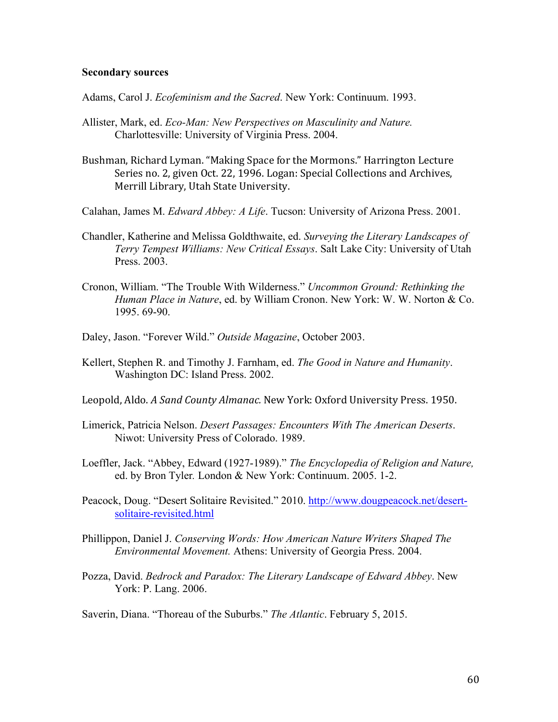#### **Secondary sources**

Adams, Carol J. *Ecofeminism and the Sacred*. New York: Continuum. 1993.

- Allister, Mark, ed. *Eco-Man: New Perspectives on Masculinity and Nature.* Charlottesville: University of Virginia Press. 2004.
- Bushman, Richard Lyman. "Making Space for the Mormons." Harrington Lecture Series no. 2, given Oct. 22, 1996. Logan: Special Collections and Archives, Merrill Library, Utah State University.
- Calahan, James M. *Edward Abbey: A Life*. Tucson: University of Arizona Press. 2001.
- Chandler, Katherine and Melissa Goldthwaite, ed. *Surveying the Literary Landscapes of Terry Tempest Williams: New Critical Essays*. Salt Lake City: University of Utah Press. 2003.
- Cronon, William. "The Trouble With Wilderness." *Uncommon Ground: Rethinking the Human Place in Nature*, ed. by William Cronon. New York: W. W. Norton & Co. 1995. 69-90.
- Daley, Jason. "Forever Wild." *Outside Magazine*, October 2003.
- Kellert, Stephen R. and Timothy J. Farnham, ed. *The Good in Nature and Humanity*. Washington DC: Island Press. 2002.
- Leopold, Aldo. A Sand County Almanac. New York: Oxford University Press. 1950.
- Limerick, Patricia Nelson. *Desert Passages: Encounters With The American Deserts*. Niwot: University Press of Colorado. 1989.
- Loeffler, Jack. "Abbey, Edward (1927-1989)." *The Encyclopedia of Religion and Nature,*  ed. by Bron Tyler*.* London & New York: Continuum. 2005. 1-2.
- Peacock, Doug. "Desert Solitaire Revisited." 2010. http://www.dougpeacock.net/desertsolitaire-revisited.html
- Phillippon, Daniel J. *Conserving Words: How American Nature Writers Shaped The Environmental Movement.* Athens: University of Georgia Press. 2004.
- Pozza, David. *Bedrock and Paradox: The Literary Landscape of Edward Abbey*. New York: P. Lang. 2006.

Saverin, Diana. "Thoreau of the Suburbs." *The Atlantic*. February 5, 2015.